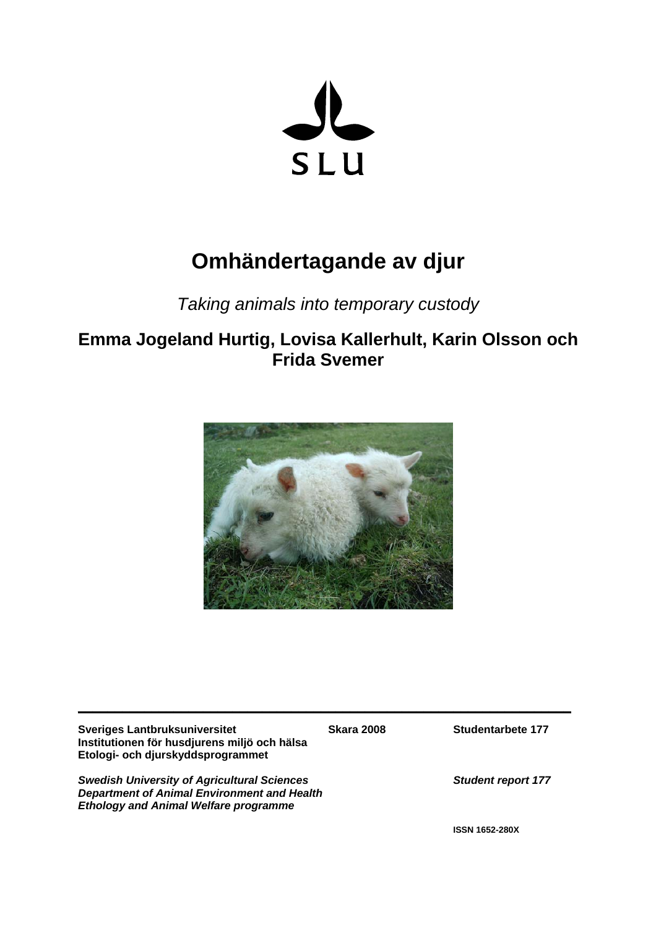

# **Omhändertagande av djur**

## *Taking animals into temporary custody*

## **Emma Jogeland Hurtig, Lovisa Kallerhult, Karin Olsson och Frida Svemer**



**\_\_\_\_\_\_\_\_\_\_\_\_\_\_\_\_\_\_\_\_\_\_\_\_\_\_\_\_\_\_\_\_\_\_\_\_\_\_\_\_\_\_\_\_\_\_\_\_\_\_\_\_\_\_\_\_\_\_\_\_\_\_\_\_\_\_\_**

**Sveriges Lantbruksuniversitet Skara 2008** Studentarbete 177 **Institutionen för husdjurens miljö och hälsa Etologi- och djurskyddsprogrammet** 

*Swedish University of Agricultural Sciences**Student report 177 Department of Animal Environment and Health Ethology and Animal Welfare programme*

**ISSN 1652-280X**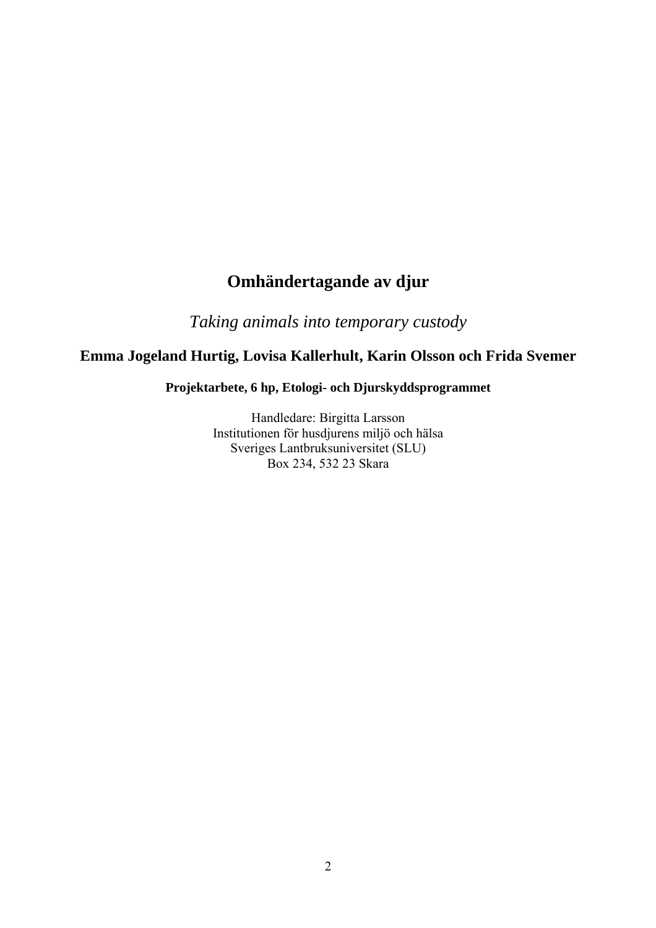## **Omhändertagande av djur**

*Taking animals into temporary custody*

## **Emma Jogeland Hurtig, Lovisa Kallerhult, Karin Olsson och Frida Svemer**

## **Projektarbete, 6 hp, Etologi- och Djurskyddsprogrammet**

Handledare: Birgitta Larsson Institutionen för husdjurens miljö och hälsa Sveriges Lantbruksuniversitet (SLU) Box 234, 532 23 Skara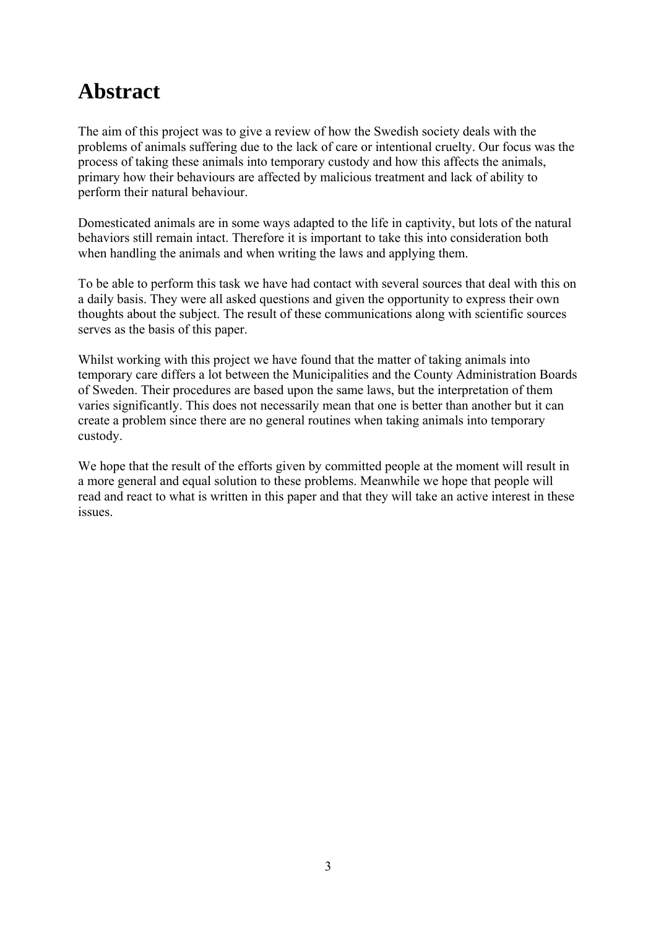## **Abstract**

The aim of this project was to give a review of how the Swedish society deals with the problems of animals suffering due to the lack of care or intentional cruelty. Our focus was the process of taking these animals into temporary custody and how this affects the animals, primary how their behaviours are affected by malicious treatment and lack of ability to perform their natural behaviour.

Domesticated animals are in some ways adapted to the life in captivity, but lots of the natural behaviors still remain intact. Therefore it is important to take this into consideration both when handling the animals and when writing the laws and applying them.

To be able to perform this task we have had contact with several sources that deal with this on a daily basis. They were all asked questions and given the opportunity to express their own thoughts about the subject. The result of these communications along with scientific sources serves as the basis of this paper.

Whilst working with this project we have found that the matter of taking animals into temporary care differs a lot between the Municipalities and the County Administration Boards of Sweden. Their procedures are based upon the same laws, but the interpretation of them varies significantly. This does not necessarily mean that one is better than another but it can create a problem since there are no general routines when taking animals into temporary custody.

We hope that the result of the efforts given by committed people at the moment will result in a more general and equal solution to these problems. Meanwhile we hope that people will read and react to what is written in this paper and that they will take an active interest in these issues.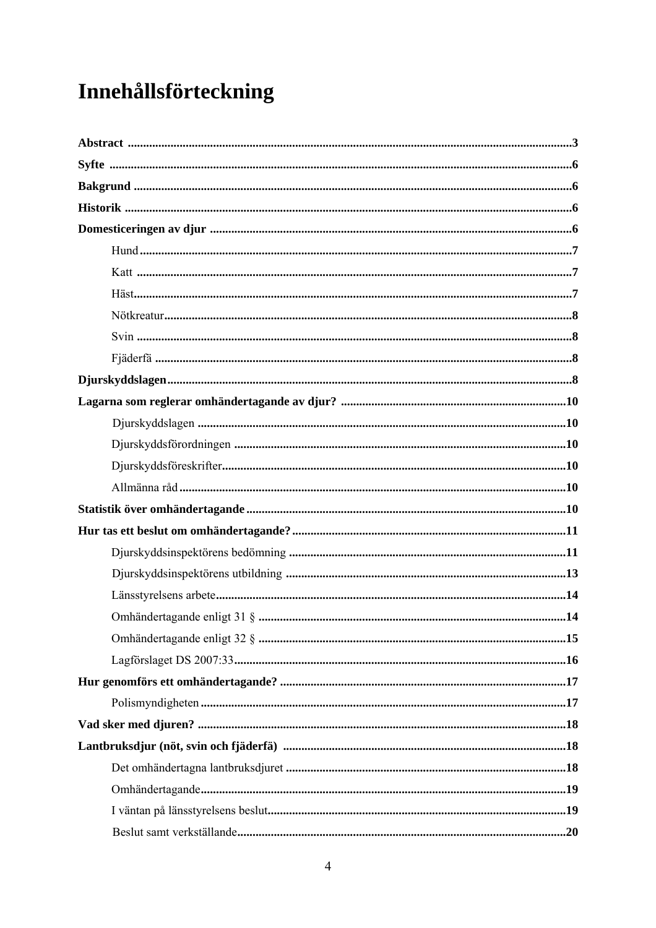# Innehållsförteckning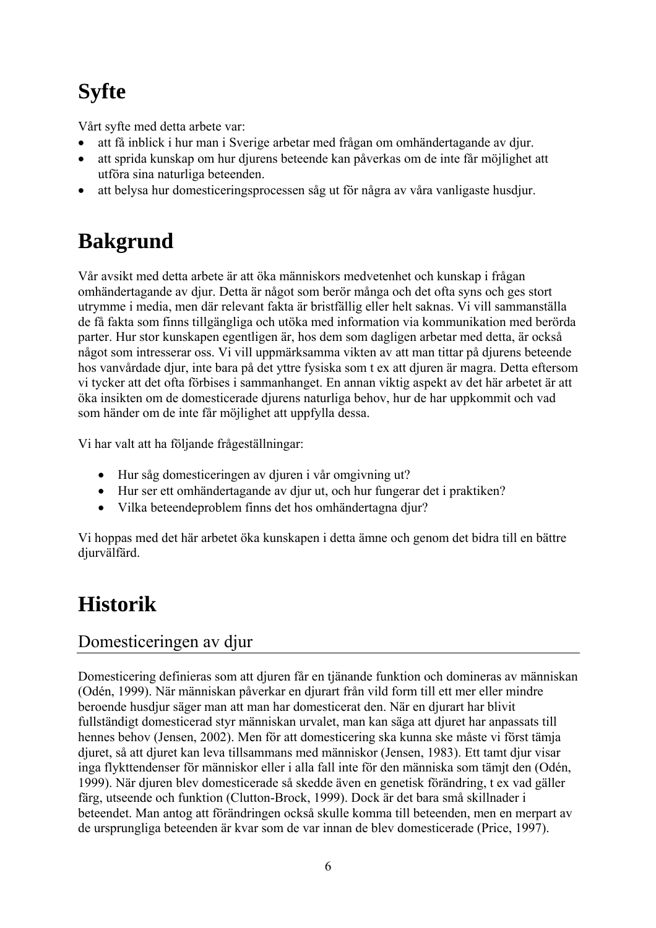# **Syfte**

Vårt syfte med detta arbete var:

- att få inblick i hur man i Sverige arbetar med frågan om omhändertagande av djur.
- att sprida kunskap om hur djurens beteende kan påverkas om de inte får möjlighet att utföra sina naturliga beteenden.
- att belysa hur domesticeringsprocessen såg ut för några av våra vanligaste husdjur.

## **Bakgrund**

Vår avsikt med detta arbete är att öka människors medvetenhet och kunskap i frågan omhändertagande av djur. Detta är något som berör många och det ofta syns och ges stort utrymme i media, men där relevant fakta är bristfällig eller helt saknas. Vi vill sammanställa de få fakta som finns tillgängliga och utöka med information via kommunikation med berörda parter. Hur stor kunskapen egentligen är, hos dem som dagligen arbetar med detta, är också något som intresserar oss. Vi vill uppmärksamma vikten av att man tittar på djurens beteende hos vanvårdade djur, inte bara på det yttre fysiska som t ex att djuren är magra. Detta eftersom vi tycker att det ofta förbises i sammanhanget. En annan viktig aspekt av det här arbetet är att öka insikten om de domesticerade djurens naturliga behov, hur de har uppkommit och vad som händer om de inte får möjlighet att uppfylla dessa.

Vi har valt att ha följande frågeställningar:

- Hur såg domesticeringen av djuren i vår omgivning ut?
- Hur ser ett omhändertagande av djur ut, och hur fungerar det i praktiken?
- Vilka beteendeproblem finns det hos omhändertagna djur?

Vi hoppas med det här arbetet öka kunskapen i detta ämne och genom det bidra till en bättre diurvälfärd.

## **Historik**

## Domesticeringen av djur

Domesticering definieras som att djuren får en tjänande funktion och domineras av människan (Odén, 1999). När människan påverkar en djurart från vild form till ett mer eller mindre beroende husdjur säger man att man har domesticerat den. När en djurart har blivit fullständigt domesticerad styr människan urvalet, man kan säga att djuret har anpassats till hennes behov (Jensen, 2002). Men för att domesticering ska kunna ske måste vi först tämja djuret, så att djuret kan leva tillsammans med människor (Jensen, 1983). Ett tamt djur visar inga flykttendenser för människor eller i alla fall inte för den människa som tämjt den (Odén, 1999). När djuren blev domesticerade så skedde även en genetisk förändring, t ex vad gäller färg, utseende och funktion (Clutton-Brock, 1999). Dock är det bara små skillnader i beteendet. Man antog att förändringen också skulle komma till beteenden, men en merpart av de ursprungliga beteenden är kvar som de var innan de blev domesticerade (Price, 1997).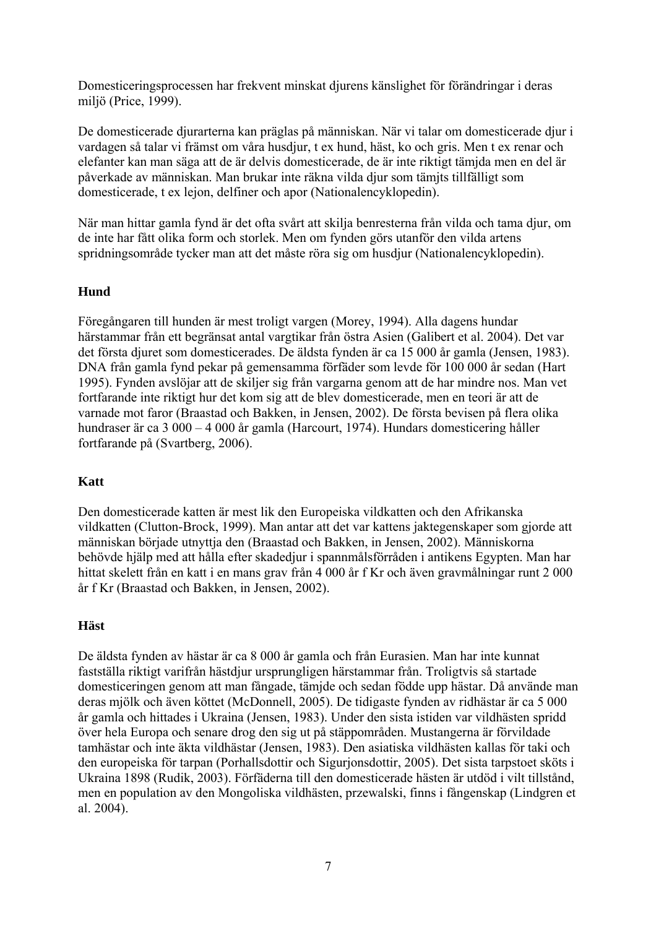Domesticeringsprocessen har frekvent minskat djurens känslighet för förändringar i deras miljö (Price, 1999).

De domesticerade djurarterna kan präglas på människan. När vi talar om domesticerade djur i vardagen så talar vi främst om våra husdjur, t ex hund, häst, ko och gris. Men t ex renar och elefanter kan man säga att de är delvis domesticerade, de är inte riktigt tämjda men en del är påverkade av människan. Man brukar inte räkna vilda djur som tämjts tillfälligt som domesticerade, t ex lejon, delfiner och apor (Nationalencyklopedin).

När man hittar gamla fynd är det ofta svårt att skilja benresterna från vilda och tama djur, om de inte har fått olika form och storlek. Men om fynden görs utanför den vilda artens spridningsområde tycker man att det måste röra sig om husdjur (Nationalencyklopedin).

## **Hund**

Föregångaren till hunden är mest troligt vargen (Morey, 1994). Alla dagens hundar härstammar från ett begränsat antal vargtikar från östra Asien (Galibert et al. 2004). Det var det första djuret som domesticerades. De äldsta fynden är ca 15 000 år gamla (Jensen, 1983). DNA från gamla fynd pekar på gemensamma förfäder som levde för 100 000 år sedan (Hart 1995). Fynden avslöjar att de skiljer sig från vargarna genom att de har mindre nos. Man vet fortfarande inte riktigt hur det kom sig att de blev domesticerade, men en teori är att de varnade mot faror (Braastad och Bakken, in Jensen, 2002). De första bevisen på flera olika hundraser är ca 3 000 – 4 000 år gamla (Harcourt, 1974). Hundars domesticering håller fortfarande på (Svartberg, 2006).

### **Katt**

Den domesticerade katten är mest lik den Europeiska vildkatten och den Afrikanska vildkatten (Clutton-Brock, 1999). Man antar att det var kattens jaktegenskaper som gjorde att människan började utnyttja den (Braastad och Bakken, in Jensen, 2002). Människorna behövde hjälp med att hålla efter skadedjur i spannmålsförråden i antikens Egypten. Man har hittat skelett från en katt i en mans grav från 4 000 år f Kr och även gravmålningar runt 2 000 år f Kr (Braastad och Bakken, in Jensen, 2002).

### **Häst**

De äldsta fynden av hästar är ca 8 000 år gamla och från Eurasien. Man har inte kunnat fastställa riktigt varifrån hästdjur ursprungligen härstammar från. Troligtvis så startade domesticeringen genom att man fångade, tämjde och sedan födde upp hästar. Då använde man deras mjölk och även köttet (McDonnell, 2005). De tidigaste fynden av ridhästar är ca 5 000 år gamla och hittades i Ukraina (Jensen, 1983). Under den sista istiden var vildhästen spridd över hela Europa och senare drog den sig ut på stäppområden. Mustangerna är förvildade tamhästar och inte äkta vildhästar (Jensen, 1983). Den asiatiska vildhästen kallas för taki och den europeiska för tarpan (Porhallsdottir och Sigurjonsdottir, 2005). Det sista tarpstoet sköts i Ukraina 1898 (Rudik, 2003). Förfäderna till den domesticerade hästen är utdöd i vilt tillstånd, men en population av den Mongoliska vildhästen, przewalski, finns i fångenskap (Lindgren et al. 2004).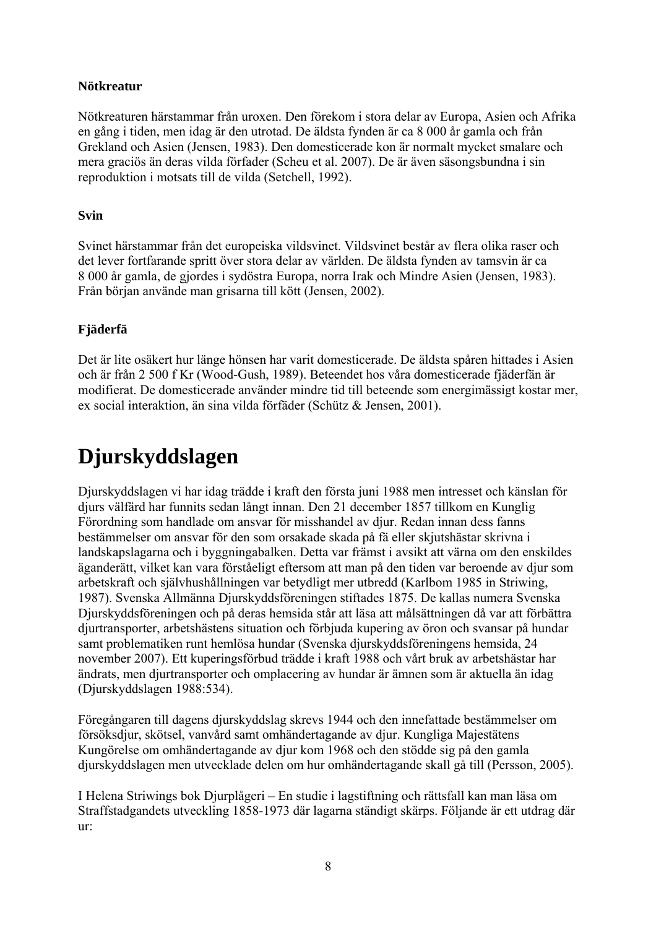## **Nötkreatur**

Nötkreaturen härstammar från uroxen. Den förekom i stora delar av Europa, Asien och Afrika en gång i tiden, men idag är den utrotad. De äldsta fynden är ca 8 000 år gamla och från Grekland och Asien (Jensen, 1983). Den domesticerade kon är normalt mycket smalare och mera graciös än deras vilda förfader (Scheu et al. 2007). De är även säsongsbundna i sin reproduktion i motsats till de vilda (Setchell, 1992).

## **Svin**

Svinet härstammar från det europeiska vildsvinet. Vildsvinet består av flera olika raser och det lever fortfarande spritt över stora delar av världen. De äldsta fynden av tamsvin är ca 8 000 år gamla, de gjordes i sydöstra Europa, norra Irak och Mindre Asien (Jensen, 1983). Från början använde man grisarna till kött (Jensen, 2002).

## **Fjäderfä**

Det är lite osäkert hur länge hönsen har varit domesticerade. De äldsta spåren hittades i Asien och är från 2 500 f Kr (Wood-Gush, 1989). Beteendet hos våra domesticerade fjäderfän är modifierat. De domesticerade använder mindre tid till beteende som energimässigt kostar mer, ex social interaktion, än sina vilda förfäder (Schütz & Jensen, 2001).

## **Djurskyddslagen**

Djurskyddslagen vi har idag trädde i kraft den första juni 1988 men intresset och känslan för djurs välfärd har funnits sedan långt innan. Den 21 december 1857 tillkom en Kunglig Förordning som handlade om ansvar för misshandel av djur. Redan innan dess fanns bestämmelser om ansvar för den som orsakade skada på fä eller skjutshästar skrivna i landskapslagarna och i byggningabalken. Detta var främst i avsikt att värna om den enskildes äganderätt, vilket kan vara förståeligt eftersom att man på den tiden var beroende av djur som arbetskraft och självhushållningen var betydligt mer utbredd (Karlbom 1985 in Striwing, 1987). Svenska Allmänna Djurskyddsföreningen stiftades 1875. De kallas numera Svenska Djurskyddsföreningen och på deras hemsida står att läsa att målsättningen då var att förbättra djurtransporter, arbetshästens situation och förbjuda kupering av öron och svansar på hundar samt problematiken runt hemlösa hundar (Svenska djurskyddsföreningens hemsida, 24 november 2007). Ett kuperingsförbud trädde i kraft 1988 och vårt bruk av arbetshästar har ändrats, men djurtransporter och omplacering av hundar är ämnen som är aktuella än idag (Djurskyddslagen 1988:534).

Föregångaren till dagens djurskyddslag skrevs 1944 och den innefattade bestämmelser om försöksdjur, skötsel, vanvård samt omhändertagande av djur. Kungliga Majestätens Kungörelse om omhändertagande av djur kom 1968 och den stödde sig på den gamla djurskyddslagen men utvecklade delen om hur omhändertagande skall gå till (Persson, 2005).

I Helena Striwings bok Djurplågeri – En studie i lagstiftning och rättsfall kan man läsa om Straffstadgandets utveckling 1858-1973 där lagarna ständigt skärps. Följande är ett utdrag där ur: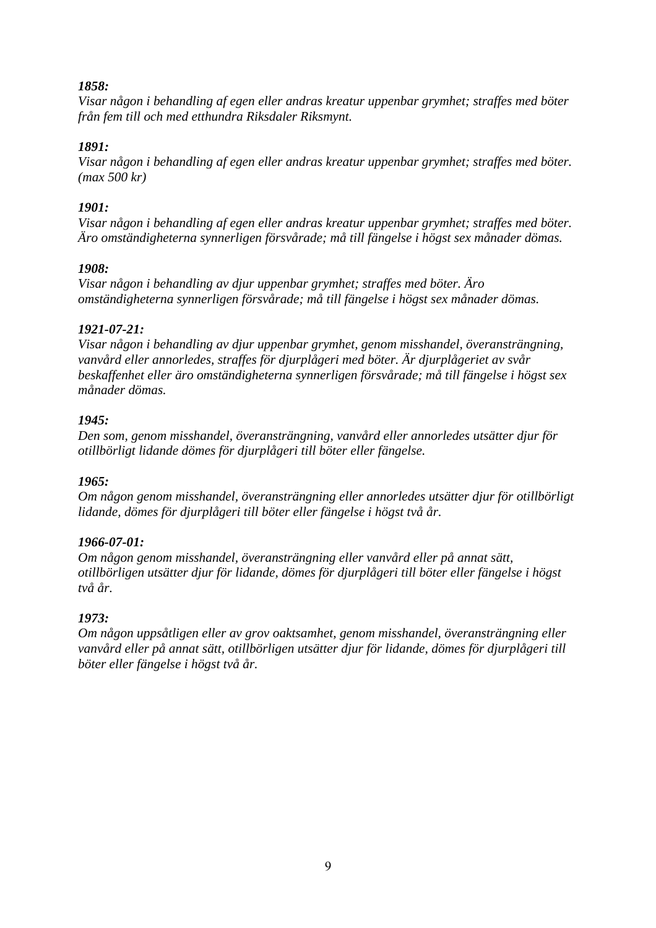### *1858:*

*Visar någon i behandling af egen eller andras kreatur uppenbar grymhet; straffes med böter från fem till och med etthundra Riksdaler Riksmynt.* 

### *1891:*

*Visar någon i behandling af egen eller andras kreatur uppenbar grymhet; straffes med böter. (max 500 kr)* 

### *1901:*

*Visar någon i behandling af egen eller andras kreatur uppenbar grymhet; straffes med böter. Äro omständigheterna synnerligen försvårade; må till fängelse i högst sex månader dömas.* 

## *1908:*

*Visar någon i behandling av djur uppenbar grymhet; straffes med böter. Äro omständigheterna synnerligen försvårade; må till fängelse i högst sex månader dömas.* 

## *1921-07-21:*

*Visar någon i behandling av djur uppenbar grymhet, genom misshandel, överansträngning, vanvård eller annorledes, straffes för djurplågeri med böter. Är djurplågeriet av svår beskaffenhet eller äro omständigheterna synnerligen försvårade; må till fängelse i högst sex månader dömas.* 

### *1945:*

*Den som, genom misshandel, överansträngning, vanvård eller annorledes utsätter djur för otillbörligt lidande dömes för djurplågeri till böter eller fängelse.* 

### *1965:*

*Om någon genom misshandel, överansträngning eller annorledes utsätter djur för otillbörligt lidande, dömes för djurplågeri till böter eller fängelse i högst två år.* 

### *1966-07-01:*

*Om någon genom misshandel, överansträngning eller vanvård eller på annat sätt, otillbörligen utsätter djur för lidande, dömes för djurplågeri till böter eller fängelse i högst två år.* 

## *1973:*

*Om någon uppsåtligen eller av grov oaktsamhet, genom misshandel, överansträngning eller vanvård eller på annat sätt, otillbörligen utsätter djur för lidande, dömes för djurplågeri till böter eller fängelse i högst två år.*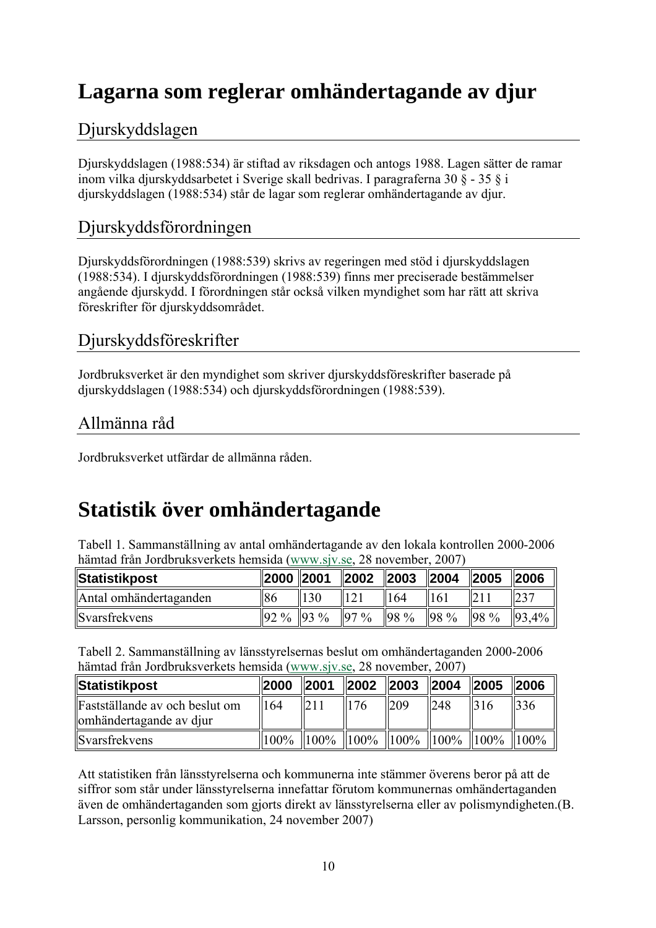## **Lagarna som reglerar omhändertagande av djur**

## Djurskyddslagen

Djurskyddslagen (1988:534) är stiftad av riksdagen och antogs 1988. Lagen sätter de ramar inom vilka djurskyddsarbetet i Sverige skall bedrivas. I paragraferna 30 § - 35 § i djurskyddslagen (1988:534) står de lagar som reglerar omhändertagande av djur.

## Djurskyddsförordningen

Djurskyddsförordningen (1988:539) skrivs av regeringen med stöd i djurskyddslagen (1988:534). I djurskyddsförordningen (1988:539) finns mer preciserade bestämmelser angående djurskydd. I förordningen står också vilken myndighet som har rätt att skriva föreskrifter för djurskyddsområdet.

## Djurskyddsföreskrifter

Jordbruksverket är den myndighet som skriver djurskyddsföreskrifter baserade på djurskyddslagen (1988:534) och djurskyddsförordningen (1988:539).

## Allmänna råd

Jordbruksverket utfärdar de allmänna råden.

## **Statistik över omhändertagande**

Tabell 1. Sammanställning av antal omhändertagande av den lokala kontrollen 2000-2006 hämtad från Jordbruksverkets hemsida [\(www.sjv.se](http://www.sjv.se/), 28 november, 2007)

| Statistikpost          | 2000   2001        |                 | $\vert$ 2002   | 2003 2004 |                 | $\ 2005\ 2006$ |       |
|------------------------|--------------------|-----------------|----------------|-----------|-----------------|----------------|-------|
| Antal omhändertaganden | 86                 | $\parallel$ 130 | <sup>121</sup> | 164       | $\parallel$ 161 |                | 237   |
| Svarsfrekvens          | $\ 92\% \ 93\% \ $ |                 | $97\%$         | $ 98\%$   | 98 %            | 98 %           | 93,4% |

Tabell 2. Sammanställning av länsstyrelsernas beslut om omhändertaganden 2000-2006 hämtad från Jordbruksverkets hemsida [\(www.sjv.se](http://www.sjv.se/), 28 november, 2007)

| ∥Statistikpost                                            | 12000 | $\parallel$ 2001 | $\parallel$ 2002 | $\ 2003\ 2004$                                                                                        |     | $\parallel$ 2005 | $\parallel$ 2006 |
|-----------------------------------------------------------|-------|------------------|------------------|-------------------------------------------------------------------------------------------------------|-----|------------------|------------------|
| Fastställande av och beslut om<br>omhändertagande av djur | 164   |                  | 1176             | 209                                                                                                   | 248 | $\vert$ 316      | 336              |
| Svarsfrekvens                                             |       |                  |                  | $\parallel$ 100% $\parallel$ 100% $\parallel$ 100% $\parallel$ 100% $\parallel$ 100% $\parallel$ 100% |     |                  | $  100\%$        |

Att statistiken från länsstyrelserna och kommunerna inte stämmer överens beror på att de siffror som står under länsstyrelserna innefattar förutom kommunernas omhändertaganden även de omhändertaganden som gjorts direkt av länsstyrelserna eller av polismyndigheten.(B. Larsson, personlig kommunikation, 24 november 2007)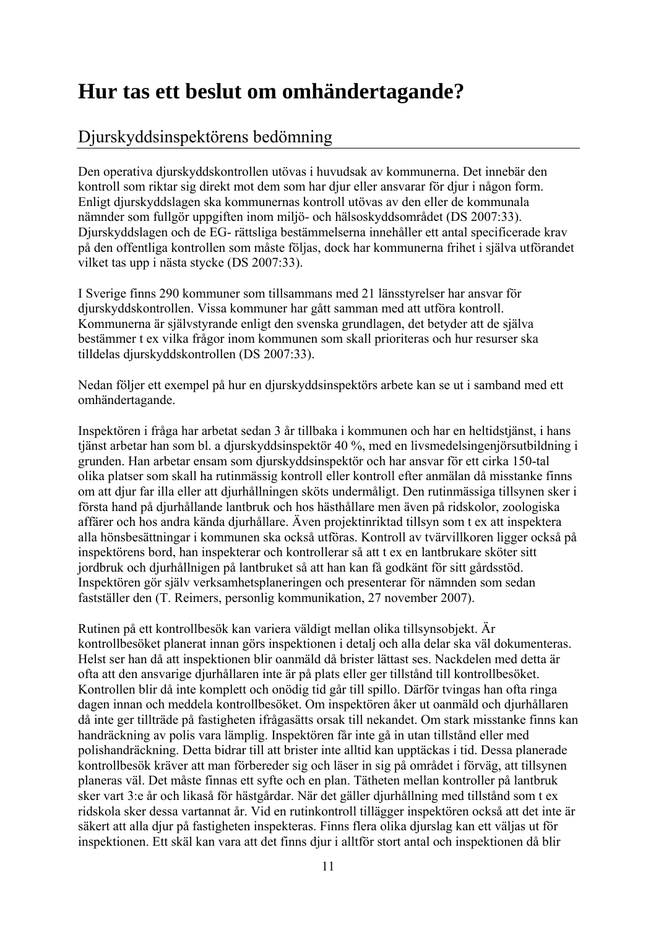## **Hur tas ett beslut om omhändertagande?**

## Djurskyddsinspektörens bedömning

Den operativa djurskyddskontrollen utövas i huvudsak av kommunerna. Det innebär den kontroll som riktar sig direkt mot dem som har djur eller ansvarar för djur i någon form. Enligt djurskyddslagen ska kommunernas kontroll utövas av den eller de kommunala nämnder som fullgör uppgiften inom miljö- och hälsoskyddsområdet (DS 2007:33). Djurskyddslagen och de EG- rättsliga bestämmelserna innehåller ett antal specificerade krav på den offentliga kontrollen som måste följas, dock har kommunerna frihet i själva utförandet vilket tas upp i nästa stycke (DS 2007:33).

I Sverige finns 290 kommuner som tillsammans med 21 länsstyrelser har ansvar för djurskyddskontrollen. Vissa kommuner har gått samman med att utföra kontroll. Kommunerna är självstyrande enligt den svenska grundlagen, det betyder att de själva bestämmer t ex vilka frågor inom kommunen som skall prioriteras och hur resurser ska tilldelas djurskyddskontrollen (DS 2007:33).

Nedan följer ett exempel på hur en djurskyddsinspektörs arbete kan se ut i samband med ett omhändertagande.

Inspektören i fråga har arbetat sedan 3 år tillbaka i kommunen och har en heltidstjänst, i hans tjänst arbetar han som bl. a djurskyddsinspektör 40 %, med en livsmedelsingenjörsutbildning i grunden. Han arbetar ensam som djurskyddsinspektör och har ansvar för ett cirka 150-tal olika platser som skall ha rutinmässig kontroll eller kontroll efter anmälan då misstanke finns om att djur far illa eller att djurhållningen sköts undermåligt. Den rutinmässiga tillsynen sker i första hand på djurhållande lantbruk och hos hästhållare men även på ridskolor, zoologiska affärer och hos andra kända djurhållare. Även projektinriktad tillsyn som t ex att inspektera alla hönsbesättningar i kommunen ska också utföras. Kontroll av tvärvillkoren ligger också på inspektörens bord, han inspekterar och kontrollerar så att t ex en lantbrukare sköter sitt jordbruk och djurhållnigen på lantbruket så att han kan få godkänt för sitt gårdsstöd. Inspektören gör själv verksamhetsplaneringen och presenterar för nämnden som sedan fastställer den (T. Reimers, personlig kommunikation, 27 november 2007).

Rutinen på ett kontrollbesök kan variera väldigt mellan olika tillsynsobjekt. Är kontrollbesöket planerat innan görs inspektionen i detalj och alla delar ska väl dokumenteras. Helst ser han då att inspektionen blir oanmäld då brister lättast ses. Nackdelen med detta är ofta att den ansvarige djurhållaren inte är på plats eller ger tillstånd till kontrollbesöket. Kontrollen blir då inte komplett och onödig tid går till spillo. Därför tvingas han ofta ringa dagen innan och meddela kontrollbesöket. Om inspektören åker ut oanmäld och djurhållaren då inte ger tillträde på fastigheten ifrågasätts orsak till nekandet. Om stark misstanke finns kan handräckning av polis vara lämplig. Inspektören får inte gå in utan tillstånd eller med polishandräckning. Detta bidrar till att brister inte alltid kan upptäckas i tid. Dessa planerade kontrollbesök kräver att man förbereder sig och läser in sig på området i förväg, att tillsynen planeras väl. Det måste finnas ett syfte och en plan. Tätheten mellan kontroller på lantbruk sker vart 3:e år och likaså för hästgårdar. När det gäller djurhållning med tillstånd som t ex ridskola sker dessa vartannat år. Vid en rutinkontroll tillägger inspektören också att det inte är säkert att alla djur på fastigheten inspekteras. Finns flera olika djurslag kan ett väljas ut för inspektionen. Ett skäl kan vara att det finns djur i alltför stort antal och inspektionen då blir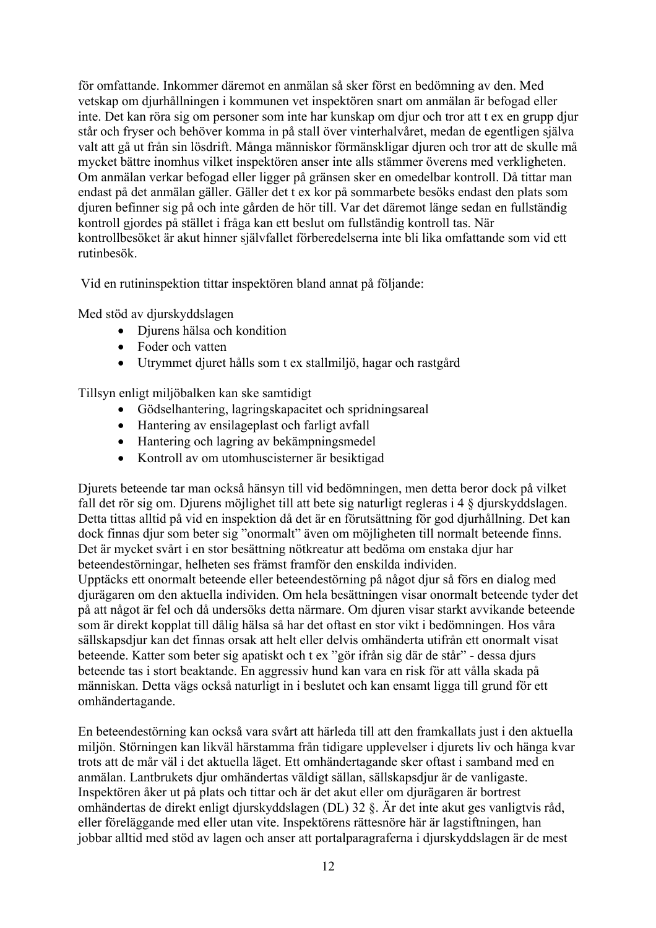för omfattande. Inkommer däremot en anmälan så sker först en bedömning av den. Med vetskap om djurhållningen i kommunen vet inspektören snart om anmälan är befogad eller inte. Det kan röra sig om personer som inte har kunskap om djur och tror att t ex en grupp djur står och fryser och behöver komma in på stall över vinterhalvåret, medan de egentligen själva valt att gå ut från sin lösdrift. Många människor förmänskligar djuren och tror att de skulle må mycket bättre inomhus vilket inspektören anser inte alls stämmer överens med verkligheten. Om anmälan verkar befogad eller ligger på gränsen sker en omedelbar kontroll. Då tittar man endast på det anmälan gäller. Gäller det t ex kor på sommarbete besöks endast den plats som djuren befinner sig på och inte gården de hör till. Var det däremot länge sedan en fullständig kontroll gjordes på stället i fråga kan ett beslut om fullständig kontroll tas. När kontrollbesöket är akut hinner självfallet förberedelserna inte bli lika omfattande som vid ett rutinbesök.

Vid en rutininspektion tittar inspektören bland annat på följande:

Med stöd av djurskyddslagen

- Djurens hälsa och kondition
- Foder och vatten
- Utrymmet djuret hålls som t ex stallmiljö, hagar och rastgård

Tillsyn enligt miljöbalken kan ske samtidigt

- Gödselhantering, lagringskapacitet och spridningsareal
- Hantering av ensilageplast och farligt avfall
- Hantering och lagring av bekämpningsmedel
- Kontroll av om utomhuscisterner är besiktigad

Djurets beteende tar man också hänsyn till vid bedömningen, men detta beror dock på vilket fall det rör sig om. Djurens möjlighet till att bete sig naturligt regleras i 4 § djurskyddslagen. Detta tittas alltid på vid en inspektion då det är en förutsättning för god djurhållning. Det kan dock finnas djur som beter sig "onormalt" även om möjligheten till normalt beteende finns. Det är mycket svårt i en stor besättning nötkreatur att bedöma om enstaka djur har beteendestörningar, helheten ses främst framför den enskilda individen.

Upptäcks ett onormalt beteende eller beteendestörning på något djur så förs en dialog med djurägaren om den aktuella individen. Om hela besättningen visar onormalt beteende tyder det på att något är fel och då undersöks detta närmare. Om djuren visar starkt avvikande beteende som är direkt kopplat till dålig hälsa så har det oftast en stor vikt i bedömningen. Hos våra sällskapsdjur kan det finnas orsak att helt eller delvis omhänderta utifrån ett onormalt visat beteende. Katter som beter sig apatiskt och t ex "gör ifrån sig där de står" - dessa djurs beteende tas i stort beaktande. En aggressiv hund kan vara en risk för att vålla skada på människan. Detta vägs också naturligt in i beslutet och kan ensamt ligga till grund för ett omhändertagande.

En beteendestörning kan också vara svårt att härleda till att den framkallats just i den aktuella miljön. Störningen kan likväl härstamma från tidigare upplevelser i djurets liv och hänga kvar trots att de mår väl i det aktuella läget. Ett omhändertagande sker oftast i samband med en anmälan. Lantbrukets djur omhändertas väldigt sällan, sällskapsdjur är de vanligaste. Inspektören åker ut på plats och tittar och är det akut eller om djurägaren är bortrest omhändertas de direkt enligt djurskyddslagen (DL) 32 §. Är det inte akut ges vanligtvis råd, eller föreläggande med eller utan vite. Inspektörens rättesnöre här är lagstiftningen, han jobbar alltid med stöd av lagen och anser att portalparagraferna i djurskyddslagen är de mest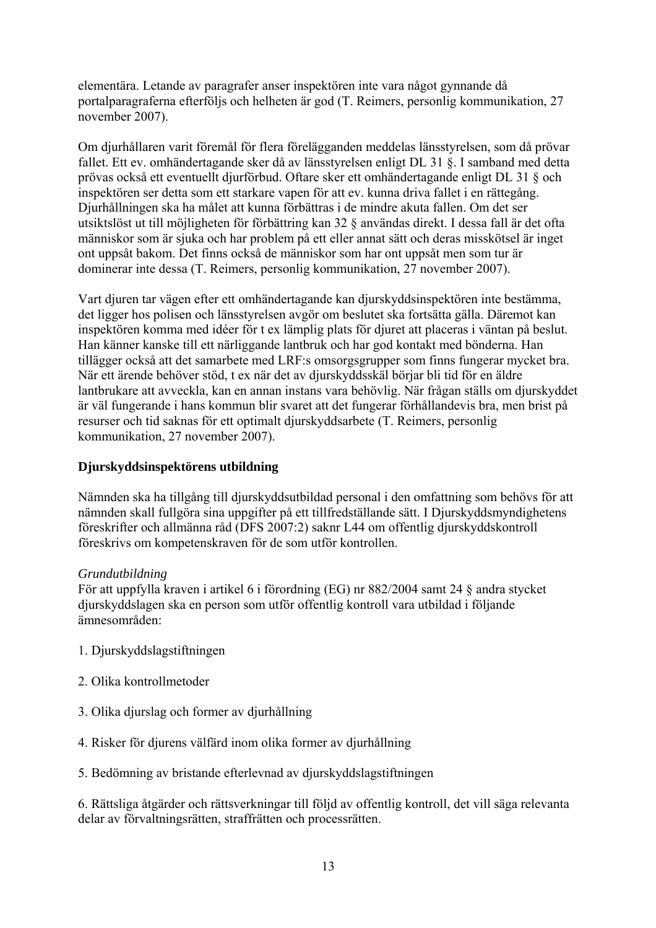elementära. Letande av paragrafer anser inspektören inte vara något gynnande då portalparagraferna efterföljs och helheten är god (T. Reimers, personlig kommunikation, 27 november 2007).

Om djurhållaren varit föremål för flera förelägganden meddelas länsstyrelsen, som då prövar fallet. Ett ev. omhändertagande sker då av länsstyrelsen enligt DL 31 §. I samband med detta prövas också ett eventuellt djurförbud. Oftare sker ett omhändertagande enligt DL 31 § och inspektören ser detta som ett starkare vapen för att ev. kunna driva fallet i en rättegång. Djurhållningen ska ha målet att kunna förbättras i de mindre akuta fallen. Om det ser utsiktslöst ut till möjligheten för förbättring kan 32 § användas direkt. I dessa fall är det ofta människor som är sjuka och har problem på ett eller annat sätt och deras misskötsel är inget ont uppsåt bakom. Det finns också de människor som har ont uppsåt men som tur är dominerar inte dessa (T. Reimers, personlig kommunikation, 27 november 2007).

Vart djuren tar vägen efter ett omhändertagande kan djurskyddsinspektören inte bestämma, det ligger hos polisen och länsstyrelsen avgör om beslutet ska fortsätta gälla. Däremot kan inspektören komma med idéer för t ex lämplig plats för djuret att placeras i väntan på beslut. Han känner kanske till ett närliggande lantbruk och har god kontakt med bönderna. Han tillägger också att det samarbete med LRF:s omsorgsgrupper som finns fungerar mycket bra. När ett ärende behöver stöd, t ex när det av djurskyddsskäl börjar bli tid för en äldre lantbrukare att avveckla, kan en annan instans vara behövlig. När frågan ställs om djurskyddet är väl fungerande i hans kommun blir svaret att det fungerar förhållandevis bra, men brist på resurser och tid saknas för ett optimalt djurskyddsarbete (T. Reimers, personlig kommunikation, 27 november 2007).

### **Djurskyddsinspektörens utbildning**

Nämnden ska ha tillgång till djurskyddsutbildad personal i den omfattning som behövs för att nämnden skall fullgöra sina uppgifter på ett tillfredställande sätt. I Djurskyddsmyndighetens föreskrifter och allmänna råd (DFS 2007:2) saknr L44 om offentlig djurskyddskontroll föreskrivs om kompetenskraven för de som utför kontrollen.

### *Grundutbildning*

För att uppfylla kraven i artikel 6 i förordning (EG) nr 882/2004 samt 24 § andra stycket djurskyddslagen ska en person som utför offentlig kontroll vara utbildad i följande ämnesområden:

- 1. Djurskyddslagstiftningen
- 2. Olika kontrollmetoder
- 3. Olika djurslag och former av djurhållning
- 4. Risker för djurens välfärd inom olika former av djurhållning
- 5. Bedömning av bristande efterlevnad av djurskyddslagstiftningen

6. Rättsliga åtgärder och rättsverkningar till följd av offentlig kontroll, det vill säga relevanta delar av förvaltningsrätten, straffrätten och processrätten.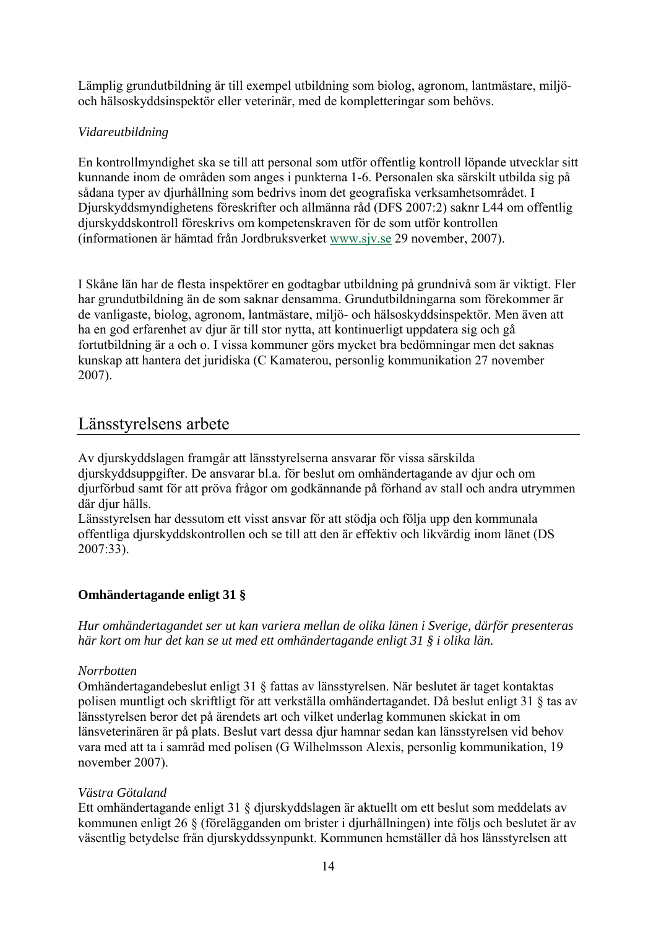Lämplig grundutbildning är till exempel utbildning som biolog, agronom, lantmästare, miljöoch hälsoskyddsinspektör eller veterinär, med de kompletteringar som behövs.

## *Vidareutbildning*

En kontrollmyndighet ska se till att personal som utför offentlig kontroll löpande utvecklar sitt kunnande inom de områden som anges i punkterna 1-6. Personalen ska särskilt utbilda sig på sådana typer av djurhållning som bedrivs inom det geografiska verksamhetsområdet. I Djurskyddsmyndighetens föreskrifter och allmänna råd (DFS 2007:2) saknr L44 om offentlig djurskyddskontroll föreskrivs om kompetenskraven för de som utför kontrollen (informationen är hämtad från Jordbruksverket [www.sjv.se](http://www.sjv.se/) 29 november, 2007).

I Skåne län har de flesta inspektörer en godtagbar utbildning på grundnivå som är viktigt. Fler har grundutbildning än de som saknar densamma. Grundutbildningarna som förekommer är de vanligaste, biolog, agronom, lantmästare, miljö- och hälsoskyddsinspektör. Men även att ha en god erfarenhet av djur är till stor nytta, att kontinuerligt uppdatera sig och gå fortutbildning är a och o. I vissa kommuner görs mycket bra bedömningar men det saknas kunskap att hantera det juridiska (C Kamaterou, personlig kommunikation 27 november 2007).

## Länsstyrelsens arbete

Av djurskyddslagen framgår att länsstyrelserna ansvarar för vissa särskilda djurskyddsuppgifter. De ansvarar bl.a. för beslut om omhändertagande av djur och om djurförbud samt för att pröva frågor om godkännande på förhand av stall och andra utrymmen där diur hålls.

Länsstyrelsen har dessutom ett visst ansvar för att stödja och följa upp den kommunala offentliga djurskyddskontrollen och se till att den är effektiv och likvärdig inom länet (DS 2007:33).

### **Omhändertagande enligt 31 §**

*Hur omhändertagandet ser ut kan variera mellan de olika länen i Sverige, därför presenteras här kort om hur det kan se ut med ett omhändertagande enligt 31 § i olika län.* 

### *Norrbotten*

Omhändertagandebeslut enligt 31 § fattas av länsstyrelsen. När beslutet är taget kontaktas polisen muntligt och skriftligt för att verkställa omhändertagandet. Då beslut enligt 31 § tas av länsstyrelsen beror det på ärendets art och vilket underlag kommunen skickat in om länsveterinären är på plats. Beslut vart dessa djur hamnar sedan kan länsstyrelsen vid behov vara med att ta i samråd med polisen (G Wilhelmsson Alexis, personlig kommunikation, 19 november 2007).

### *Västra Götaland*

Ett omhändertagande enligt 31 § djurskyddslagen är aktuellt om ett beslut som meddelats av kommunen enligt 26 § (förelägganden om brister i djurhållningen) inte följs och beslutet är av väsentlig betydelse från djurskyddssynpunkt. Kommunen hemställer då hos länsstyrelsen att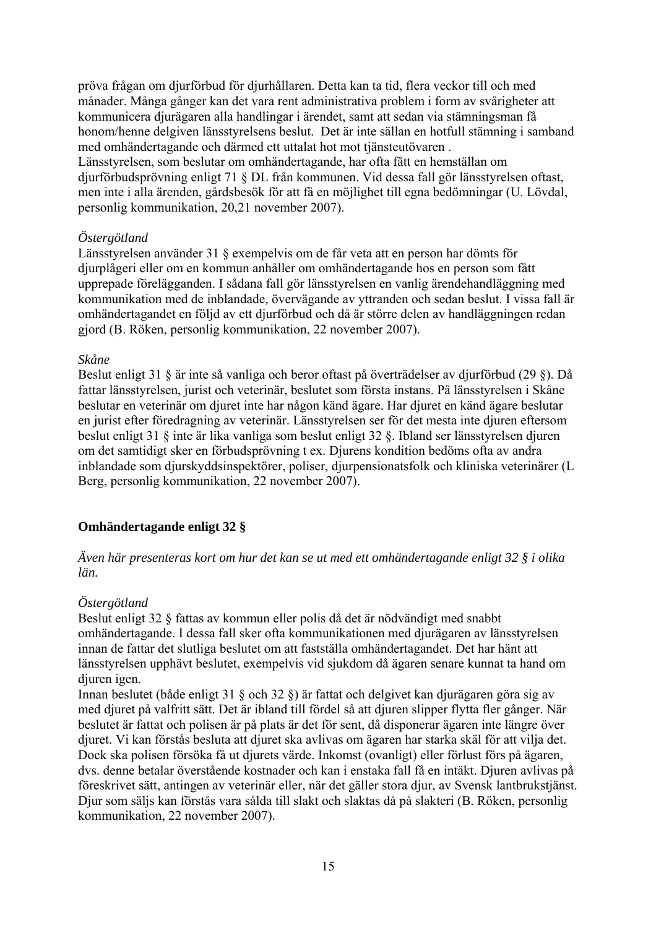pröva frågan om djurförbud för djurhållaren. Detta kan ta tid, flera veckor till och med månader. Många gånger kan det vara rent administrativa problem i form av svårigheter att kommunicera djurägaren alla handlingar i ärendet, samt att sedan via stämningsman få honom/henne delgiven länsstyrelsens beslut. Det är inte sällan en hotfull stämning i samband med omhändertagande och därmed ett uttalat hot mot tjänsteutövaren . Länsstyrelsen, som beslutar om omhändertagande, har ofta fått en hemställan om djurförbudsprövning enligt 71 § DL från kommunen. Vid dessa fall gör länsstyrelsen oftast, men inte i alla ärenden, gårdsbesök för att få en möjlighet till egna bedömningar (U. Lövdal, personlig kommunikation, 20,21 november 2007).

#### *Östergötland*

Länsstyrelsen använder 31 § exempelvis om de får veta att en person har dömts för djurplågeri eller om en kommun anhåller om omhändertagande hos en person som fått upprepade förelägganden. I sådana fall gör länsstyrelsen en vanlig ärendehandläggning med kommunikation med de inblandade, övervägande av yttranden och sedan beslut. I vissa fall är omhändertagandet en följd av ett djurförbud och då är större delen av handläggningen redan gjord (B. Röken, personlig kommunikation, 22 november 2007).

#### *Skåne*

Beslut enligt 31 § är inte så vanliga och beror oftast på överträdelser av djurförbud (29 §). Då fattar länsstyrelsen, jurist och veterinär, beslutet som första instans. På länsstyrelsen i Skåne beslutar en veterinär om djuret inte har någon känd ägare. Har djuret en känd ägare beslutar en jurist efter föredragning av veterinär. Länsstyrelsen ser för det mesta inte djuren eftersom beslut enligt 31 § inte är lika vanliga som beslut enligt 32 §. Ibland ser länsstyrelsen djuren om det samtidigt sker en förbudsprövning t ex. Djurens kondition bedöms ofta av andra inblandade som djurskyddsinspektörer, poliser, djurpensionatsfolk och kliniska veterinärer (L Berg, personlig kommunikation, 22 november 2007).

### **Omhändertagande enligt 32 §**

*Även här presenteras kort om hur det kan se ut med ett omhändertagande enligt 32 § i olika län.* 

### *Östergötland*

Beslut enligt 32 § fattas av kommun eller polis då det är nödvändigt med snabbt omhändertagande. I dessa fall sker ofta kommunikationen med djurägaren av länsstyrelsen innan de fattar det slutliga beslutet om att fastställa omhändertagandet. Det har hänt att länsstyrelsen upphävt beslutet, exempelvis vid sjukdom då ägaren senare kunnat ta hand om diuren igen.

Innan beslutet (både enligt 31 § och 32 §) är fattat och delgivet kan djurägaren göra sig av med djuret på valfritt sätt. Det är ibland till fördel så att djuren slipper flytta fler gånger. När beslutet är fattat och polisen är på plats är det för sent, då disponerar ägaren inte längre över djuret. Vi kan förstås besluta att djuret ska avlivas om ägaren har starka skäl för att vilja det. Dock ska polisen försöka få ut djurets värde. Inkomst (ovanligt) eller förlust förs på ägaren, dvs. denne betalar överstående kostnader och kan i enstaka fall få en intäkt. Djuren avlivas på föreskrivet sätt, antingen av veterinär eller, när det gäller stora djur, av Svensk lantbrukstjänst. Djur som säljs kan förstås vara sålda till slakt och slaktas då på slakteri (B. Röken, personlig kommunikation, 22 november 2007).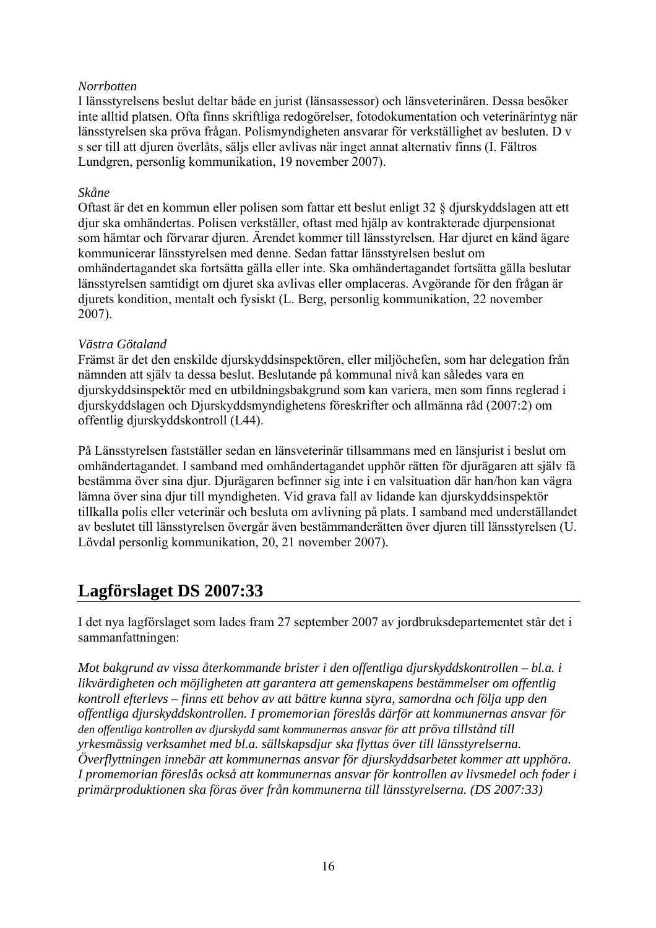#### *Norrbotten*

I länsstyrelsens beslut deltar både en jurist (länsassessor) och länsveterinären. Dessa besöker inte alltid platsen. Ofta finns skriftliga redogörelser, fotodokumentation och veterinärintyg när länsstyrelsen ska pröva frågan. Polismyndigheten ansvarar för verkställighet av besluten. D v s ser till att djuren överlåts, säljs eller avlivas när inget annat alternativ finns (I. Fältros Lundgren, personlig kommunikation, 19 november 2007).

#### *Skåne*

Oftast är det en kommun eller polisen som fattar ett beslut enligt 32 § djurskyddslagen att ett djur ska omhändertas. Polisen verkställer, oftast med hjälp av kontrakterade djurpensionat som hämtar och förvarar djuren. Ärendet kommer till länsstyrelsen. Har djuret en känd ägare kommunicerar länsstyrelsen med denne. Sedan fattar länsstyrelsen beslut om omhändertagandet ska fortsätta gälla eller inte. Ska omhändertagandet fortsätta gälla beslutar länsstyrelsen samtidigt om djuret ska avlivas eller omplaceras. Avgörande för den frågan är djurets kondition, mentalt och fysiskt (L. Berg, personlig kommunikation, 22 november 2007).

#### *Västra Götaland*

Främst är det den enskilde djurskyddsinspektören, eller miljöchefen, som har delegation från nämnden att själv ta dessa beslut. Beslutande på kommunal nivå kan således vara en djurskyddsinspektör med en utbildningsbakgrund som kan variera, men som finns reglerad i djurskyddslagen och Djurskyddsmyndighetens föreskrifter och allmänna råd (2007:2) om offentlig djurskyddskontroll (L44).

På Länsstyrelsen fastställer sedan en länsveterinär tillsammans med en länsjurist i beslut om omhändertagandet. I samband med omhändertagandet upphör rätten för djurägaren att själv få bestämma över sina djur. Djurägaren befinner sig inte i en valsituation där han/hon kan vägra lämna över sina djur till myndigheten. Vid grava fall av lidande kan djurskyddsinspektör tillkalla polis eller veterinär och besluta om avlivning på plats. I samband med underställandet av beslutet till länsstyrelsen övergår även bestämmanderätten över djuren till länsstyrelsen (U. Lövdal personlig kommunikation, 20, 21 november 2007).

## **Lagförslaget DS 2007:33**

I det nya lagförslaget som lades fram 27 september 2007 av jordbruksdepartementet står det i sammanfattningen:

*Mot bakgrund av vissa återkommande brister i den offentliga djurskyddskontrollen – bl.a. i likvärdigheten och möjligheten att garantera att gemenskapens bestämmelser om offentlig kontroll efterlevs – finns ett behov av att bättre kunna styra, samordna och följa upp den offentliga djurskyddskontrollen. I promemorian föreslås därför att kommunernas ansvar för den offentliga kontrollen av djurskydd samt kommunernas ansvar för att pröva tillstånd till yrkesmässig verksamhet med bl.a. sällskapsdjur ska flyttas över till länsstyrelserna. Överflyttningen innebär att kommunernas ansvar för djurskyddsarbetet kommer att upphöra. I promemorian föreslås också att kommunernas ansvar för kontrollen av livsmedel och foder i primärproduktionen ska föras över från kommunerna till länsstyrelserna. (DS 2007:33)*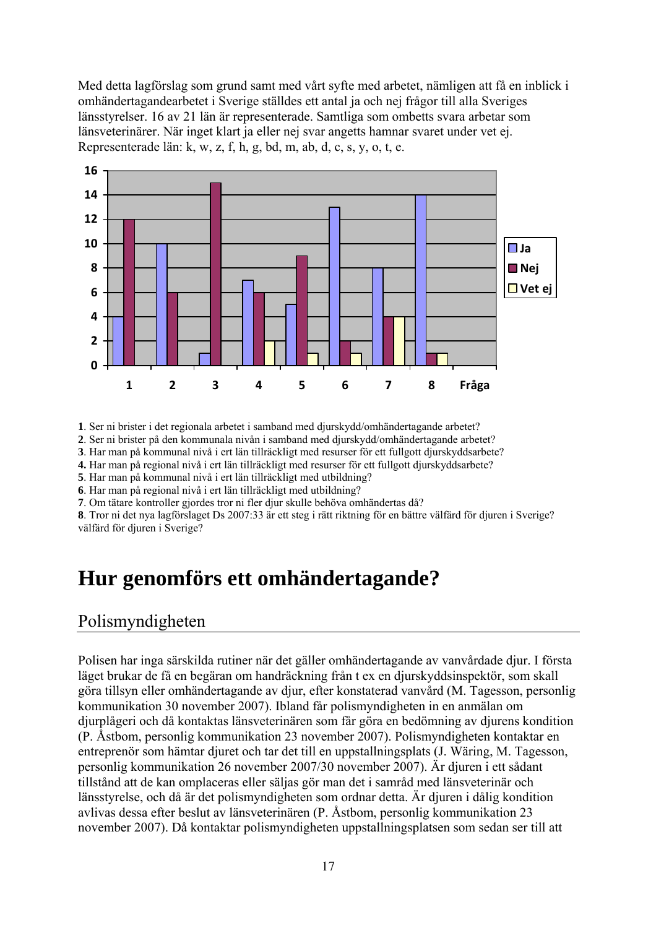Med detta lagförslag som grund samt med vårt syfte med arbetet, nämligen att få en inblick i omhändertagandearbetet i Sverige ställdes ett antal ja och nej frågor till alla Sveriges länsstyrelser. 16 av 21 län är representerade. Samtliga som ombetts svara arbetar som länsveterinärer. När inget klart ja eller nej svar angetts hamnar svaret under vet ej. Representerade län: k, w, z, f, h, g, bd, m, ab, d, c, s, y, o, t, e.



**1**. Ser ni brister i det regionala arbetet i samband med djurskydd/omhändertagande arbetet?

**2**. Ser ni brister på den kommunala nivån i samband med djurskydd/omhändertagande arbetet?

**3**. Har man på kommunal nivå i ert län tillräckligt med resurser för ett fullgott djurskyddsarbete?

**4.** Har man på regional nivå i ert län tillräckligt med resurser för ett fullgott djurskyddsarbete?

**5**. Har man på kommunal nivå i ert län tillräckligt med utbildning?

**6**. Har man på regional nivå i ert län tillräckligt med utbildning?

**7**. Om tätare kontroller gjordes tror ni fler djur skulle behöva omhändertas då?

**8**. Tror ni det nya lagförslaget Ds 2007:33 är ett steg i rätt riktning för en bättre välfärd för djuren i Sverige? välfärd för diuren i Sverige?

## **Hur genomförs ett omhändertagande?**

## Polismyndigheten

Polisen har inga särskilda rutiner när det gäller omhändertagande av vanvårdade djur. I första läget brukar de få en begäran om handräckning från t ex en djurskyddsinspektör, som skall göra tillsyn eller omhändertagande av djur, efter konstaterad vanvård (M. Tagesson, personlig kommunikation 30 november 2007). Ibland får polismyndigheten in en anmälan om djurplågeri och då kontaktas länsveterinären som får göra en bedömning av djurens kondition (P. Åstbom, personlig kommunikation 23 november 2007). Polismyndigheten kontaktar en entreprenör som hämtar djuret och tar det till en uppstallningsplats (J. Wäring, M. Tagesson, personlig kommunikation 26 november 2007/30 november 2007). Är djuren i ett sådant tillstånd att de kan omplaceras eller säljas gör man det i samråd med länsveterinär och länsstyrelse, och då är det polismyndigheten som ordnar detta. Är djuren i dålig kondition avlivas dessa efter beslut av länsveterinären (P. Åstbom, personlig kommunikation 23 november 2007). Då kontaktar polismyndigheten uppstallningsplatsen som sedan ser till att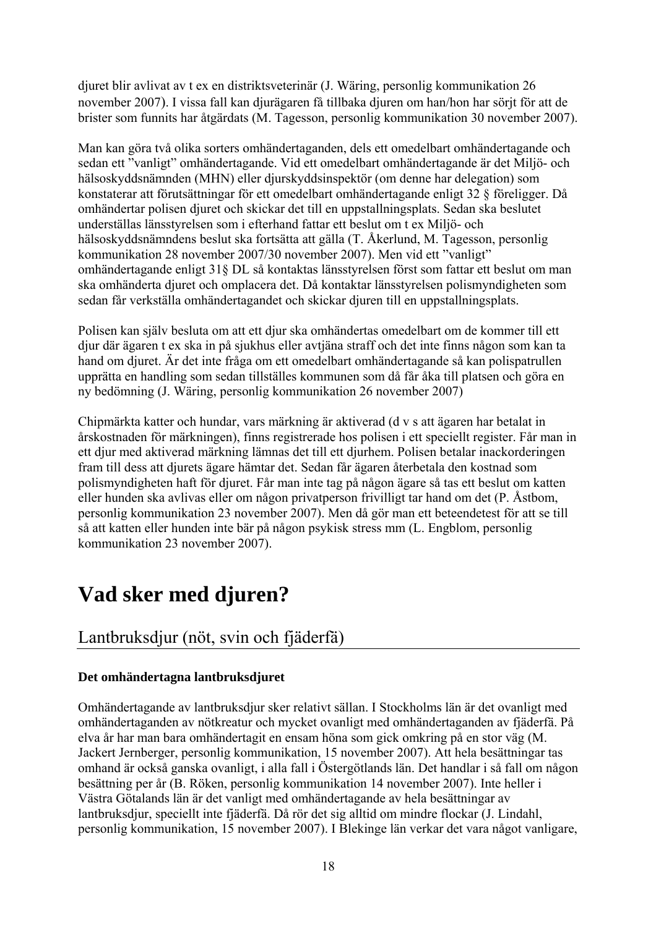djuret blir avlivat av t ex en distriktsveterinär (J. Wäring, personlig kommunikation 26 november 2007). I vissa fall kan djurägaren få tillbaka djuren om han/hon har sörjt för att de brister som funnits har åtgärdats (M. Tagesson, personlig kommunikation 30 november 2007).

Man kan göra två olika sorters omhändertaganden, dels ett omedelbart omhändertagande och sedan ett "vanligt" omhändertagande. Vid ett omedelbart omhändertagande är det Miljö- och hälsoskyddsnämnden (MHN) eller djurskyddsinspektör (om denne har delegation) som konstaterar att förutsättningar för ett omedelbart omhändertagande enligt 32 § föreligger. Då omhändertar polisen djuret och skickar det till en uppstallningsplats. Sedan ska beslutet underställas länsstyrelsen som i efterhand fattar ett beslut om t ex Miljö- och hälsoskyddsnämndens beslut ska fortsätta att gälla (T. Åkerlund, M. Tagesson, personlig kommunikation 28 november 2007/30 november 2007). Men vid ett "vanligt" omhändertagande enligt 31§ DL så kontaktas länsstyrelsen först som fattar ett beslut om man ska omhänderta djuret och omplacera det. Då kontaktar länsstyrelsen polismyndigheten som sedan får verkställa omhändertagandet och skickar djuren till en uppstallningsplats.

Polisen kan själv besluta om att ett djur ska omhändertas omedelbart om de kommer till ett djur där ägaren t ex ska in på sjukhus eller avtjäna straff och det inte finns någon som kan ta hand om djuret. Är det inte fråga om ett omedelbart omhändertagande så kan polispatrullen upprätta en handling som sedan tillställes kommunen som då får åka till platsen och göra en ny bedömning (J. Wäring, personlig kommunikation 26 november 2007)

Chipmärkta katter och hundar, vars märkning är aktiverad (d v s att ägaren har betalat in årskostnaden för märkningen), finns registrerade hos polisen i ett speciellt register. Får man in ett djur med aktiverad märkning lämnas det till ett djurhem. Polisen betalar inackorderingen fram till dess att djurets ägare hämtar det. Sedan får ägaren återbetala den kostnad som polismyndigheten haft för djuret. Får man inte tag på någon ägare så tas ett beslut om katten eller hunden ska avlivas eller om någon privatperson frivilligt tar hand om det (P. Åstbom, personlig kommunikation 23 november 2007). Men då gör man ett beteendetest för att se till så att katten eller hunden inte bär på någon psykisk stress mm (L. Engblom, personlig kommunikation 23 november 2007).

## **Vad sker med djuren?**

## Lantbruksdjur (nöt, svin och fjäderfä)

## **Det omhändertagna lantbruksdjuret**

Omhändertagande av lantbruksdjur sker relativt sällan. I Stockholms län är det ovanligt med omhändertaganden av nötkreatur och mycket ovanligt med omhändertaganden av fjäderfä. På elva år har man bara omhändertagit en ensam höna som gick omkring på en stor väg (M. Jackert Jernberger, personlig kommunikation, 15 november 2007). Att hela besättningar tas omhand är också ganska ovanligt, i alla fall i Östergötlands län. Det handlar i så fall om någon besättning per år (B. Röken, personlig kommunikation 14 november 2007). Inte heller i Västra Götalands län är det vanligt med omhändertagande av hela besättningar av lantbruksdjur, speciellt inte fjäderfä. Då rör det sig alltid om mindre flockar (J. Lindahl, personlig kommunikation, 15 november 2007). I Blekinge län verkar det vara något vanligare,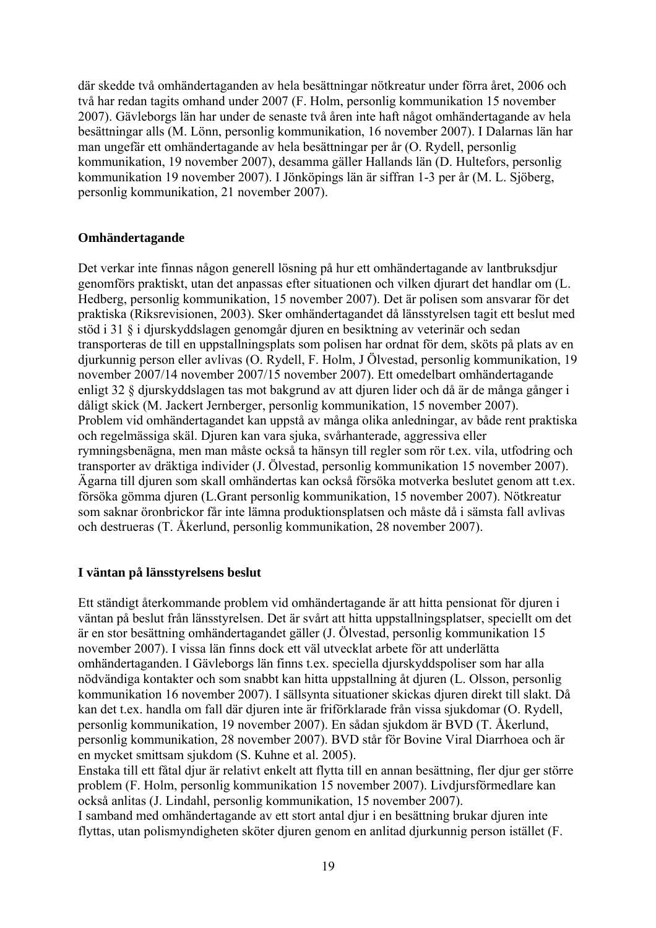där skedde två omhändertaganden av hela besättningar nötkreatur under förra året, 2006 och två har redan tagits omhand under 2007 (F. Holm, personlig kommunikation 15 november 2007). Gävleborgs län har under de senaste två åren inte haft något omhändertagande av hela besättningar alls (M. Lönn, personlig kommunikation, 16 november 2007). I Dalarnas län har man ungefär ett omhändertagande av hela besättningar per år (O. Rydell, personlig kommunikation, 19 november 2007), desamma gäller Hallands län (D. Hultefors, personlig kommunikation 19 november 2007). I Jönköpings län är siffran 1-3 per år (M. L. Sjöberg, personlig kommunikation, 21 november 2007).

#### **Omhändertagande**

Det verkar inte finnas någon generell lösning på hur ett omhändertagande av lantbruksdjur genomförs praktiskt, utan det anpassas efter situationen och vilken djurart det handlar om (L. Hedberg, personlig kommunikation, 15 november 2007). Det är polisen som ansvarar för det praktiska (Riksrevisionen, 2003). Sker omhändertagandet då länsstyrelsen tagit ett beslut med stöd i 31 § i djurskyddslagen genomgår djuren en besiktning av veterinär och sedan transporteras de till en uppstallningsplats som polisen har ordnat för dem, sköts på plats av en djurkunnig person eller avlivas (O. Rydell, F. Holm, J Ölvestad, personlig kommunikation, 19 november 2007/14 november 2007/15 november 2007). Ett omedelbart omhändertagande enligt 32 § djurskyddslagen tas mot bakgrund av att djuren lider och då är de många gånger i dåligt skick (M. Jackert Jernberger, personlig kommunikation, 15 november 2007). Problem vid omhändertagandet kan uppstå av många olika anledningar, av både rent praktiska och regelmässiga skäl. Djuren kan vara sjuka, svårhanterade, aggressiva eller rymningsbenägna, men man måste också ta hänsyn till regler som rör t.ex. vila, utfodring och transporter av dräktiga individer (J. Ölvestad, personlig kommunikation 15 november 2007). Ägarna till djuren som skall omhändertas kan också försöka motverka beslutet genom att t.ex. försöka gömma djuren (L.Grant personlig kommunikation, 15 november 2007). Nötkreatur som saknar öronbrickor får inte lämna produktionsplatsen och måste då i sämsta fall avlivas och destrueras (T. Åkerlund, personlig kommunikation, 28 november 2007).

#### **I väntan på länsstyrelsens beslut**

Ett ständigt återkommande problem vid omhändertagande är att hitta pensionat för djuren i väntan på beslut från länsstyrelsen. Det är svårt att hitta uppstallningsplatser, speciellt om det är en stor besättning omhändertagandet gäller (J. Ölvestad, personlig kommunikation 15 november 2007). I vissa län finns dock ett väl utvecklat arbete för att underlätta omhändertaganden. I Gävleborgs län finns t.ex. speciella djurskyddspoliser som har alla nödvändiga kontakter och som snabbt kan hitta uppstallning åt djuren (L. Olsson, personlig kommunikation 16 november 2007). I sällsynta situationer skickas djuren direkt till slakt. Då kan det t.ex. handla om fall där djuren inte är friförklarade från vissa sjukdomar (O. Rydell, personlig kommunikation, 19 november 2007). En sådan sjukdom är BVD (T. Åkerlund, personlig kommunikation, 28 november 2007). BVD står för Bovine Viral Diarrhoea och är en mycket smittsam sjukdom (S. Kuhne et al. 2005).

Enstaka till ett fåtal djur är relativt enkelt att flytta till en annan besättning, fler djur ger större problem (F. Holm, personlig kommunikation 15 november 2007). Livdjursförmedlare kan också anlitas (J. Lindahl, personlig kommunikation, 15 november 2007).

I samband med omhändertagande av ett stort antal djur i en besättning brukar djuren inte flyttas, utan polismyndigheten sköter djuren genom en anlitad djurkunnig person istället (F.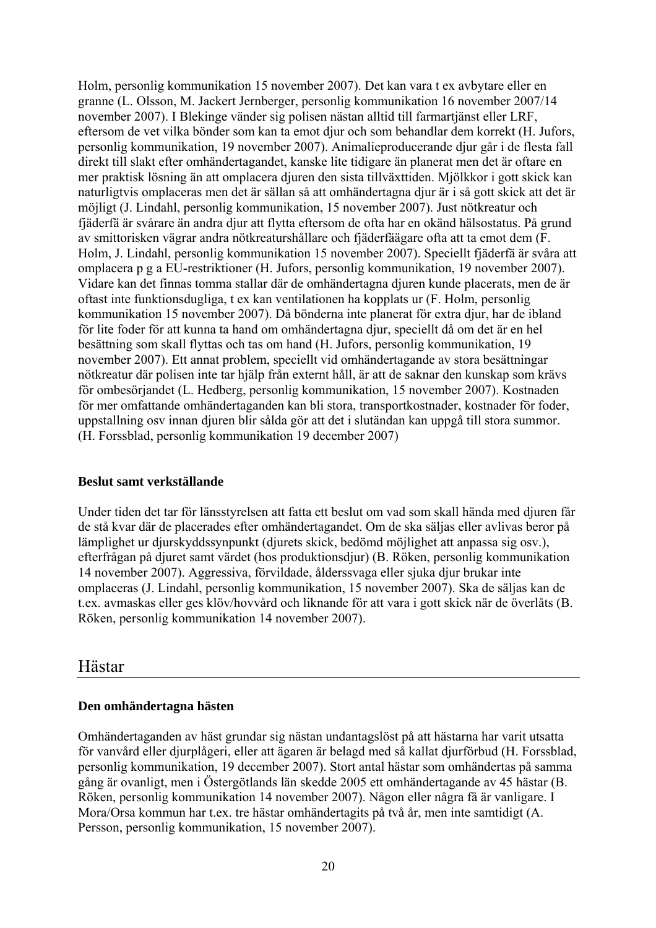Holm, personlig kommunikation 15 november 2007). Det kan vara t ex avbytare eller en granne (L. Olsson, M. Jackert Jernberger, personlig kommunikation 16 november 2007/14 november 2007). I Blekinge vänder sig polisen nästan alltid till farmartjänst eller LRF, eftersom de vet vilka bönder som kan ta emot djur och som behandlar dem korrekt (H. Jufors, personlig kommunikation, 19 november 2007). Animalieproducerande djur går i de flesta fall direkt till slakt efter omhändertagandet, kanske lite tidigare än planerat men det är oftare en mer praktisk lösning än att omplacera djuren den sista tillväxttiden. Mjölkkor i gott skick kan naturligtvis omplaceras men det är sällan så att omhändertagna djur är i så gott skick att det är möjligt (J. Lindahl, personlig kommunikation, 15 november 2007). Just nötkreatur och fjäderfä är svårare än andra djur att flytta eftersom de ofta har en okänd hälsostatus. På grund av smittorisken vägrar andra nötkreaturshållare och fjäderfäägare ofta att ta emot dem (F. Holm, J. Lindahl, personlig kommunikation 15 november 2007). Speciellt fjäderfä är svåra att omplacera p g a EU-restriktioner (H. Jufors, personlig kommunikation, 19 november 2007). Vidare kan det finnas tomma stallar där de omhändertagna djuren kunde placerats, men de är oftast inte funktionsdugliga, t ex kan ventilationen ha kopplats ur (F. Holm, personlig kommunikation 15 november 2007). Då bönderna inte planerat för extra djur, har de ibland för lite foder för att kunna ta hand om omhändertagna djur, speciellt då om det är en hel besättning som skall flyttas och tas om hand (H. Jufors, personlig kommunikation, 19 november 2007). Ett annat problem, speciellt vid omhändertagande av stora besättningar nötkreatur där polisen inte tar hjälp från externt håll, är att de saknar den kunskap som krävs för ombesörjandet (L. Hedberg, personlig kommunikation, 15 november 2007). Kostnaden för mer omfattande omhändertaganden kan bli stora, transportkostnader, kostnader för foder, uppstallning osv innan djuren blir sålda gör att det i slutändan kan uppgå till stora summor. (H. Forssblad, personlig kommunikation 19 december 2007)

#### **Beslut samt verkställande**

Under tiden det tar för länsstyrelsen att fatta ett beslut om vad som skall hända med djuren får de stå kvar där de placerades efter omhändertagandet. Om de ska säljas eller avlivas beror på lämplighet ur djurskyddssynpunkt (djurets skick, bedömd möjlighet att anpassa sig osv.), efterfrågan på djuret samt värdet (hos produktionsdjur) (B. Röken, personlig kommunikation 14 november 2007). Aggressiva, förvildade, ålderssvaga eller sjuka djur brukar inte omplaceras (J. Lindahl, personlig kommunikation, 15 november 2007). Ska de säljas kan de t.ex. avmaskas eller ges klöv/hovvård och liknande för att vara i gott skick när de överlåts (B. Röken, personlig kommunikation 14 november 2007).

## Hästar

### **Den omhändertagna hästen**

Omhändertaganden av häst grundar sig nästan undantagslöst på att hästarna har varit utsatta för vanvård eller djurplågeri, eller att ägaren är belagd med så kallat djurförbud (H. Forssblad, personlig kommunikation, 19 december 2007). Stort antal hästar som omhändertas på samma gång är ovanligt, men i Östergötlands län skedde 2005 ett omhändertagande av 45 hästar (B. Röken, personlig kommunikation 14 november 2007). Någon eller några få är vanligare. I Mora/Orsa kommun har t.ex. tre hästar omhändertagits på två år, men inte samtidigt (A. Persson, personlig kommunikation, 15 november 2007).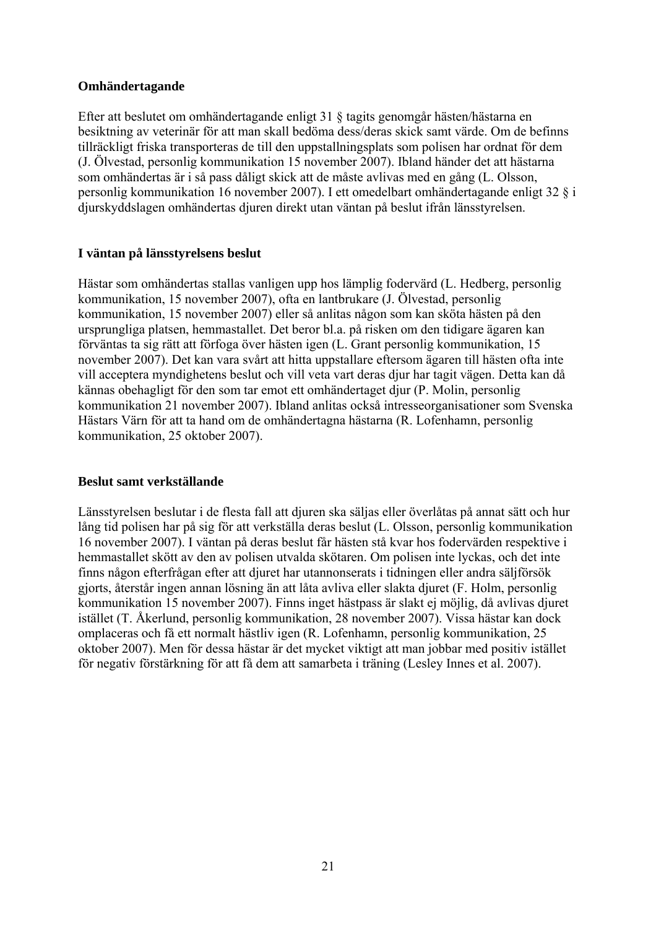#### **Omhändertagande**

Efter att beslutet om omhändertagande enligt 31 § tagits genomgår hästen/hästarna en besiktning av veterinär för att man skall bedöma dess/deras skick samt värde. Om de befinns tillräckligt friska transporteras de till den uppstallningsplats som polisen har ordnat för dem (J. Ölvestad, personlig kommunikation 15 november 2007). Ibland händer det att hästarna som omhändertas är i så pass dåligt skick att de måste avlivas med en gång (L. Olsson, personlig kommunikation 16 november 2007). I ett omedelbart omhändertagande enligt 32 § i djurskyddslagen omhändertas djuren direkt utan väntan på beslut ifrån länsstyrelsen.

### **I väntan på länsstyrelsens beslut**

Hästar som omhändertas stallas vanligen upp hos lämplig fodervärd (L. Hedberg, personlig kommunikation, 15 november 2007), ofta en lantbrukare (J. Ölvestad, personlig kommunikation, 15 november 2007) eller så anlitas någon som kan sköta hästen på den ursprungliga platsen, hemmastallet. Det beror bl.a. på risken om den tidigare ägaren kan förväntas ta sig rätt att förfoga över hästen igen (L. Grant personlig kommunikation, 15 november 2007). Det kan vara svårt att hitta uppstallare eftersom ägaren till hästen ofta inte vill acceptera myndighetens beslut och vill veta vart deras djur har tagit vägen. Detta kan då kännas obehagligt för den som tar emot ett omhändertaget djur (P. Molin, personlig kommunikation 21 november 2007). Ibland anlitas också intresseorganisationer som Svenska Hästars Värn för att ta hand om de omhändertagna hästarna (R. Lofenhamn, personlig kommunikation, 25 oktober 2007).

#### **Beslut samt verkställande**

Länsstyrelsen beslutar i de flesta fall att djuren ska säljas eller överlåtas på annat sätt och hur lång tid polisen har på sig för att verkställa deras beslut (L. Olsson, personlig kommunikation 16 november 2007). I väntan på deras beslut får hästen stå kvar hos fodervärden respektive i hemmastallet skött av den av polisen utvalda skötaren. Om polisen inte lyckas, och det inte finns någon efterfrågan efter att djuret har utannonserats i tidningen eller andra säljförsök gjorts, återstår ingen annan lösning än att låta avliva eller slakta djuret (F. Holm, personlig kommunikation 15 november 2007). Finns inget hästpass är slakt ej möjlig, då avlivas djuret istället (T. Åkerlund, personlig kommunikation, 28 november 2007). Vissa hästar kan dock omplaceras och få ett normalt hästliv igen (R. Lofenhamn, personlig kommunikation, 25 oktober 2007). Men för dessa hästar är det mycket viktigt att man jobbar med positiv istället för negativ förstärkning för att få dem att samarbeta i träning (Lesley Innes et al. 2007).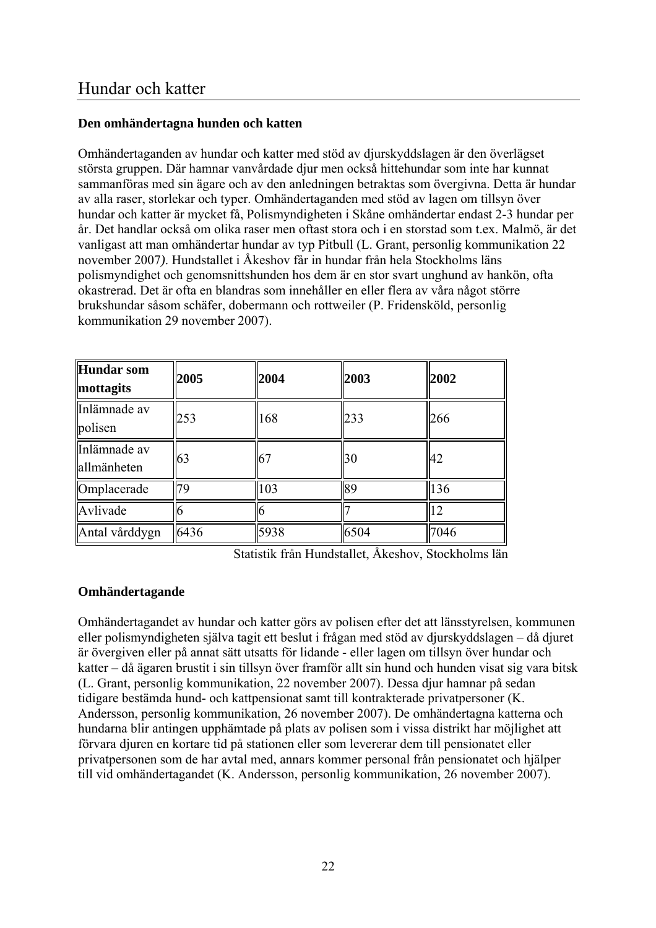### **Den omhändertagna hunden och katten**

Omhändertaganden av hundar och katter med stöd av djurskyddslagen är den överlägset största gruppen. Där hamnar vanvårdade djur men också hittehundar som inte har kunnat sammanföras med sin ägare och av den anledningen betraktas som övergivna. Detta är hundar av alla raser, storlekar och typer. Omhändertaganden med stöd av lagen om tillsyn över hundar och katter är mycket få, Polismyndigheten i Skåne omhändertar endast 2-3 hundar per år. Det handlar också om olika raser men oftast stora och i en storstad som t.ex. Malmö, är det vanligast att man omhändertar hundar av typ Pitbull (L. Grant, personlig kommunikation 22 november 2007*)*. Hundstallet i Åkeshov får in hundar från hela Stockholms läns polismyndighet och genomsnittshunden hos dem är en stor svart unghund av hankön, ofta okastrerad. Det är ofta en blandras som innehåller en eller flera av våra något större brukshundar såsom schäfer, dobermann och rottweiler (P. Fridensköld, personlig kommunikation 29 november 2007).

| Hundar som<br>mottagits     | 2005 | 2004  | 2003 | 2002 |
|-----------------------------|------|-------|------|------|
| Inlämnade av<br>polisen     | 253  | 168   | 233  | 266  |
| Inlämnade av<br>allmänheten | 63   | $-67$ | 30   | 42   |
| Omplacerade                 | 79   | 103   | 89   | 136  |
| Avlivade                    |      |       |      | 12   |
| Antal vårddygn              | 6436 | 5938  | 6504 | 7046 |

Statistik från Hundstallet, Åkeshov, Stockholms län

## **Omhändertagande**

Omhändertagandet av hundar och katter görs av polisen efter det att länsstyrelsen, kommunen eller polismyndigheten själva tagit ett beslut i frågan med stöd av djurskyddslagen – då djuret är övergiven eller på annat sätt utsatts för lidande - eller lagen om tillsyn över hundar och katter – då ägaren brustit i sin tillsyn över framför allt sin hund och hunden visat sig vara bitsk (L. Grant, personlig kommunikation, 22 november 2007). Dessa djur hamnar på sedan tidigare bestämda hund- och kattpensionat samt till kontrakterade privatpersoner (K. Andersson, personlig kommunikation, 26 november 2007). De omhändertagna katterna och hundarna blir antingen upphämtade på plats av polisen som i vissa distrikt har möjlighet att förvara djuren en kortare tid på stationen eller som levererar dem till pensionatet eller privatpersonen som de har avtal med, annars kommer personal från pensionatet och hjälper till vid omhändertagandet (K. Andersson, personlig kommunikation, 26 november 2007).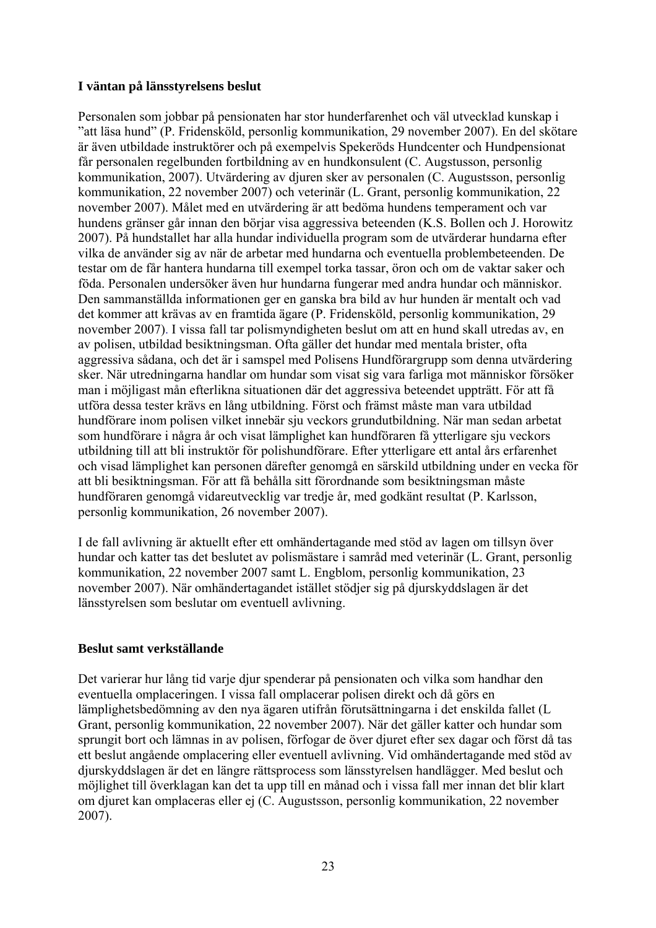### **I väntan på länsstyrelsens beslut**

Personalen som jobbar på pensionaten har stor hunderfarenhet och väl utvecklad kunskap i "att läsa hund" (P. Fridensköld, personlig kommunikation, 29 november 2007). En del skötare är även utbildade instruktörer och på exempelvis Spekeröds Hundcenter och Hundpensionat får personalen regelbunden fortbildning av en hundkonsulent (C. Augstusson, personlig kommunikation, 2007). Utvärdering av djuren sker av personalen (C. Augustsson, personlig kommunikation, 22 november 2007) och veterinär (L. Grant, personlig kommunikation, 22 november 2007). Målet med en utvärdering är att bedöma hundens temperament och var hundens gränser går innan den börjar visa aggressiva beteenden (K.S. Bollen och J. Horowitz 2007). På hundstallet har alla hundar individuella program som de utvärderar hundarna efter vilka de använder sig av när de arbetar med hundarna och eventuella problembeteenden. De testar om de får hantera hundarna till exempel torka tassar, öron och om de vaktar saker och föda. Personalen undersöker även hur hundarna fungerar med andra hundar och människor. Den sammanställda informationen ger en ganska bra bild av hur hunden är mentalt och vad det kommer att krävas av en framtida ägare (P. Fridensköld, personlig kommunikation, 29 november 2007). I vissa fall tar polismyndigheten beslut om att en hund skall utredas av, en av polisen, utbildad besiktningsman. Ofta gäller det hundar med mentala brister, ofta aggressiva sådana, och det är i samspel med Polisens Hundförargrupp som denna utvärdering sker. När utredningarna handlar om hundar som visat sig vara farliga mot människor försöker man i möjligast mån efterlikna situationen där det aggressiva beteendet uppträtt. För att få utföra dessa tester krävs en lång utbildning. Först och främst måste man vara utbildad hundförare inom polisen vilket innebär sju veckors grundutbildning. När man sedan arbetat som hundförare i några år och visat lämplighet kan hundföraren få ytterligare sju veckors utbildning till att bli instruktör för polishundförare. Efter ytterligare ett antal års erfarenhet och visad lämplighet kan personen därefter genomgå en särskild utbildning under en vecka för att bli besiktningsman. För att få behålla sitt förordnande som besiktningsman måste hundföraren genomgå vidareutvecklig var tredje år, med godkänt resultat (P. Karlsson, personlig kommunikation, 26 november 2007).

I de fall avlivning är aktuellt efter ett omhändertagande med stöd av lagen om tillsyn över hundar och katter tas det beslutet av polismästare i samråd med veterinär (L. Grant, personlig kommunikation, 22 november 2007 samt L. Engblom, personlig kommunikation, 23 november 2007). När omhändertagandet istället stödjer sig på djurskyddslagen är det länsstyrelsen som beslutar om eventuell avlivning.

### **Beslut samt verkställande**

Det varierar hur lång tid varje djur spenderar på pensionaten och vilka som handhar den eventuella omplaceringen. I vissa fall omplacerar polisen direkt och då görs en lämplighetsbedömning av den nya ägaren utifrån förutsättningarna i det enskilda fallet (L Grant, personlig kommunikation, 22 november 2007). När det gäller katter och hundar som sprungit bort och lämnas in av polisen, förfogar de över djuret efter sex dagar och först då tas ett beslut angående omplacering eller eventuell avlivning. Vid omhändertagande med stöd av djurskyddslagen är det en längre rättsprocess som länsstyrelsen handlägger. Med beslut och möjlighet till överklagan kan det ta upp till en månad och i vissa fall mer innan det blir klart om djuret kan omplaceras eller ej (C. Augustsson, personlig kommunikation, 22 november 2007).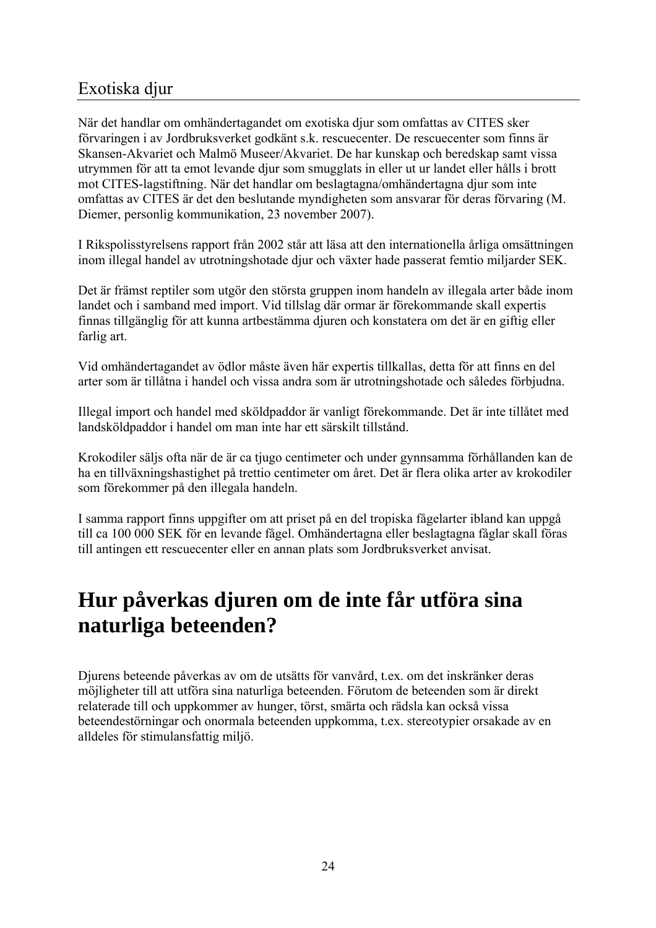## Exotiska djur

När det handlar om omhändertagandet om exotiska djur som omfattas av CITES sker förvaringen i av Jordbruksverket godkänt s.k. rescuecenter. De rescuecenter som finns är Skansen-Akvariet och Malmö Museer/Akvariet. De har kunskap och beredskap samt vissa utrymmen för att ta emot levande djur som smugglats in eller ut ur landet eller hålls i brott mot CITES-lagstiftning. När det handlar om beslagtagna/omhändertagna djur som inte omfattas av CITES är det den beslutande myndigheten som ansvarar för deras förvaring (M. Diemer, personlig kommunikation, 23 november 2007).

I Rikspolisstyrelsens rapport från 2002 står att läsa att den internationella årliga omsättningen inom illegal handel av utrotningshotade djur och växter hade passerat femtio miljarder SEK.

Det är främst reptiler som utgör den största gruppen inom handeln av illegala arter både inom landet och i samband med import. Vid tillslag där ormar är förekommande skall expertis finnas tillgänglig för att kunna artbestämma djuren och konstatera om det är en giftig eller farlig art.

Vid omhändertagandet av ödlor måste även här expertis tillkallas, detta för att finns en del arter som är tillåtna i handel och vissa andra som är utrotningshotade och således förbjudna.

Illegal import och handel med sköldpaddor är vanligt förekommande. Det är inte tillåtet med landsköldpaddor i handel om man inte har ett särskilt tillstånd.

Krokodiler säljs ofta när de är ca tjugo centimeter och under gynnsamma förhållanden kan de ha en tillväxningshastighet på trettio centimeter om året. Det är flera olika arter av krokodiler som förekommer på den illegala handeln.

I samma rapport finns uppgifter om att priset på en del tropiska fågelarter ibland kan uppgå till ca 100 000 SEK för en levande fågel. Omhändertagna eller beslagtagna fåglar skall föras till antingen ett rescuecenter eller en annan plats som Jordbruksverket anvisat.

## **Hur påverkas djuren om de inte får utföra sina naturliga beteenden?**

Djurens beteende påverkas av om de utsätts för vanvård, t.ex. om det inskränker deras möjligheter till att utföra sina naturliga beteenden. Förutom de beteenden som är direkt relaterade till och uppkommer av hunger, törst, smärta och rädsla kan också vissa beteendestörningar och onormala beteenden uppkomma, t.ex. stereotypier orsakade av en alldeles för stimulansfattig miljö.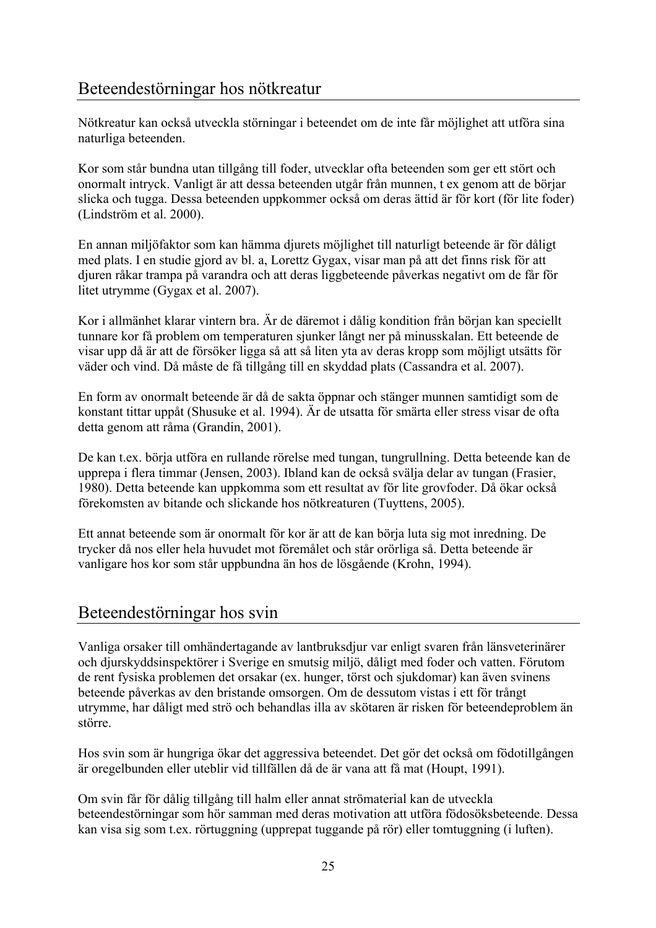## Beteendestörningar hos nötkreatur

Nötkreatur kan också utveckla störningar i beteendet om de inte får möjlighet att utföra sina naturliga beteenden.

Kor som står bundna utan tillgång till foder, utvecklar ofta beteenden som ger ett stört och onormalt intryck. Vanligt är att dessa beteenden utgår från munnen, t ex genom att de börjar slicka och tugga. Dessa beteenden uppkommer också om deras ättid är för kort (för lite foder) (Lindström et al. 2000).

En annan miljöfaktor som kan hämma djurets möjlighet till naturligt beteende är för dåligt med plats. I en studie gjord av bl. a, Lorettz Gygax, visar man på att det finns risk för att djuren råkar trampa på varandra och att deras liggbeteende påverkas negativt om de får för litet utrymme (Gygax et al. 2007).

Kor i allmänhet klarar vintern bra. Är de däremot i dålig kondition från början kan speciellt tunnare kor få problem om temperaturen sjunker långt ner på minusskalan. Ett beteende de visar upp då är att de försöker ligga så att så liten yta av deras kropp som möjligt utsätts för väder och vind. Då måste de få tillgång till en skyddad plats (Cassandra et al. 2007).

En form av onormalt beteende är då de sakta öppnar och stänger munnen samtidigt som de konstant tittar uppåt (Shusuke et al. 1994). Är de utsatta för smärta eller stress visar de ofta detta genom att råma (Grandin, 2001).

De kan t.ex. börja utföra en rullande rörelse med tungan, tungrullning. Detta beteende kan de upprepa i flera timmar (Jensen, 2003). Ibland kan de också svälja delar av tungan (Frasier, 1980). Detta beteende kan uppkomma som ett resultat av för lite grovfoder. Då ökar också förekomsten av bitande och slickande hos nötkreaturen (Tuyttens, 2005).

Ett annat beteende som är onormalt för kor är att de kan börja luta sig mot inredning. De trycker då nos eller hela huvudet mot föremålet och står orörliga så. Detta beteende är vanligare hos kor som står uppbundna än hos de lösgående (Krohn, 1994).

## Beteendestörningar hos svin

Vanliga orsaker till omhändertagande av lantbruksdjur var enligt svaren från länsveterinärer och djurskyddsinspektörer i Sverige en smutsig miljö, dåligt med foder och vatten. Förutom de rent fysiska problemen det orsakar (ex. hunger, törst och sjukdomar) kan även svinens beteende påverkas av den bristande omsorgen. Om de dessutom vistas i ett för trångt utrymme, har dåligt med strö och behandlas illa av skötaren är risken för beteendeproblem än större.

Hos svin som är hungriga ökar det aggressiva beteendet. Det gör det också om födotillgången är oregelbunden eller uteblir vid tillfällen då de är vana att få mat (Houpt, 1991).

Om svin får för dålig tillgång till halm eller annat strömaterial kan de utveckla beteendestörningar som hör samman med deras motivation att utföra födosöksbeteende. Dessa kan visa sig som t.ex. rörtuggning (upprepat tuggande på rör) eller tomtuggning (i luften).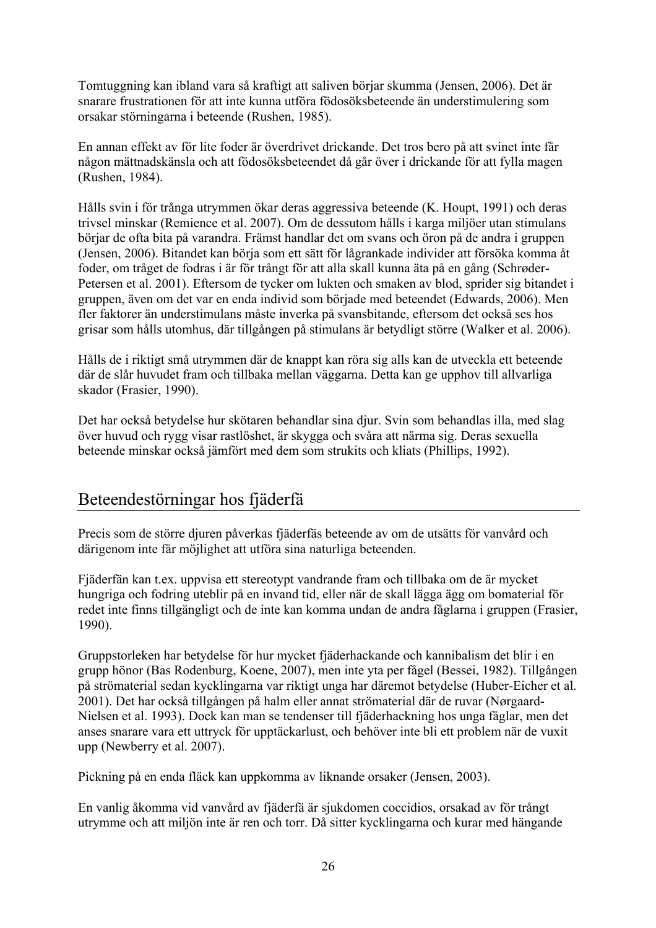Tomtuggning kan ibland vara så kraftigt att saliven börjar skumma (Jensen, 2006). Det är snarare frustrationen för att inte kunna utföra födosöksbeteende än understimulering som orsakar störningarna i beteende (Rushen, 1985).

En annan effekt av för lite foder är överdrivet drickande. Det tros bero på att svinet inte får någon mättnadskänsla och att födosöksbeteendet då går över i drickande för att fylla magen (Rushen, 1984).

Hålls svin i för trånga utrymmen ökar deras aggressiva beteende (K. Houpt, 1991) och deras trivsel minskar (Remience et al. 2007). Om de dessutom hålls i karga miljöer utan stimulans börjar de ofta bita på varandra. Främst handlar det om svans och öron på de andra i gruppen (Jensen, 2006). Bitandet kan börja som ett sätt för lågrankade individer att försöka komma åt foder, om tråget de fodras i är för trångt för att alla skall kunna äta på en gång (Schrøder-Petersen et al. 2001). Eftersom de tycker om lukten och smaken av blod, sprider sig bitandet i gruppen, även om det var en enda individ som började med beteendet (Edwards, 2006). Men fler faktorer än understimulans måste inverka på svansbitande, eftersom det också ses hos grisar som hålls utomhus, där tillgången på stimulans är betydligt större (Walker et al. 2006).

Hålls de i riktigt små utrymmen där de knappt kan röra sig alls kan de utveckla ett beteende där de slår huvudet fram och tillbaka mellan väggarna. Detta kan ge upphov till allvarliga skador (Frasier, 1990).

Det har också betydelse hur skötaren behandlar sina djur. Svin som behandlas illa, med slag över huvud och rygg visar rastlöshet, är skygga och svåra att närma sig. Deras sexuella beteende minskar också jämfört med dem som strukits och kliats (Phillips, 1992).

## Beteendestörningar hos fjäderfä

Precis som de större djuren påverkas fjäderfäs beteende av om de utsätts för vanvård och därigenom inte får möjlighet att utföra sina naturliga beteenden.

Fjäderfän kan t.ex. uppvisa ett stereotypt vandrande fram och tillbaka om de är mycket hungriga och fodring uteblir på en invand tid, eller när de skall lägga ägg om bomaterial för redet inte finns tillgängligt och de inte kan komma undan de andra fåglarna i gruppen (Frasier, 1990).

Gruppstorleken har betydelse för hur mycket fjäderhackande och kannibalism det blir i en grupp hönor (Bas Rodenburg, Koene, 2007), men inte yta per fågel (Bessei, 1982). Tillgången på strömaterial sedan kycklingarna var riktigt unga har däremot betydelse (Huber-Eicher et al. 2001). Det har också tillgången på halm eller annat strömaterial där de ruvar (Nørgaard-Nielsen et al. 1993). Dock kan man se tendenser till fjäderhackning hos unga fåglar, men det anses snarare vara ett uttryck för upptäckarlust, och behöver inte bli ett problem när de vuxit upp (Newberry et al. 2007).

Pickning på en enda fläck kan uppkomma av liknande orsaker (Jensen, 2003).

En vanlig åkomma vid vanvård av fjäderfä är sjukdomen coccidios, orsakad av för trångt utrymme och att miljön inte är ren och torr. Då sitter kycklingarna och kurar med hängande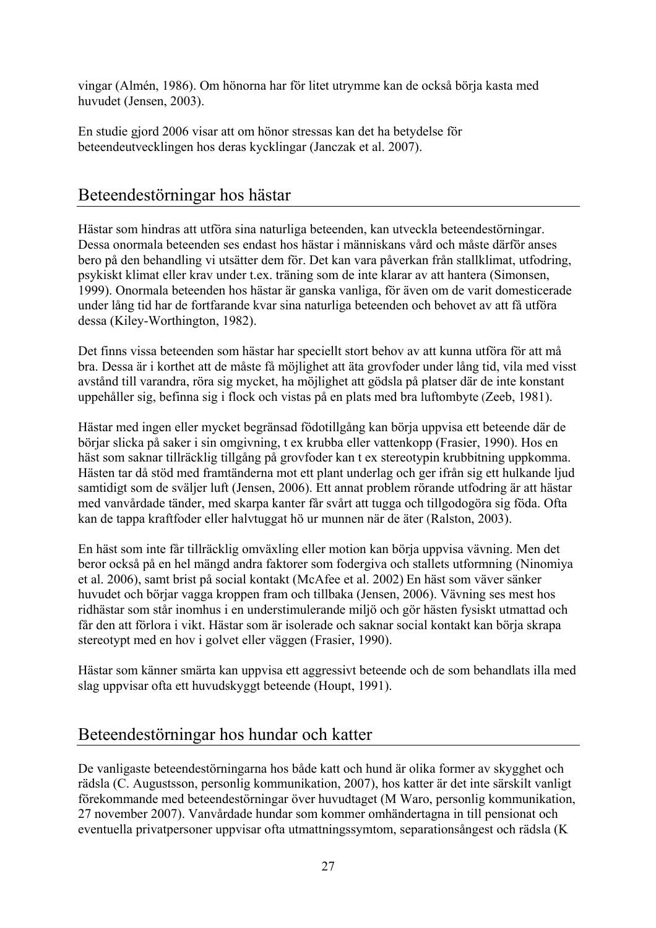vingar (Almén, 1986). Om hönorna har för litet utrymme kan de också börja kasta med huvudet (Jensen, 2003).

En studie gjord 2006 visar att om hönor stressas kan det ha betydelse för beteendeutvecklingen hos deras kycklingar (Janczak et al. 2007).

## Beteendestörningar hos hästar

Hästar som hindras att utföra sina naturliga beteenden, kan utveckla beteendestörningar. Dessa onormala beteenden ses endast hos hästar i människans vård och måste därför anses bero på den behandling vi utsätter dem för. Det kan vara påverkan från stallklimat, utfodring, psykiskt klimat eller krav under t.ex. träning som de inte klarar av att hantera (Simonsen, 1999). Onormala beteenden hos hästar är ganska vanliga, för även om de varit domesticerade under lång tid har de fortfarande kvar sina naturliga beteenden och behovet av att få utföra dessa (Kiley-Worthington, 1982).

Det finns vissa beteenden som hästar har speciellt stort behov av att kunna utföra för att må bra. Dessa är i korthet att de måste få möjlighet att äta grovfoder under lång tid, vila med visst avstånd till varandra, röra sig mycket, ha möjlighet att gödsla på platser där de inte konstant uppehåller sig, befinna sig i flock och vistas på en plats med bra luftombyte (Zeeb, 1981).

Hästar med ingen eller mycket begränsad födotillgång kan börja uppvisa ett beteende där de börjar slicka på saker i sin omgivning, t ex krubba eller vattenkopp (Frasier, 1990). Hos en häst som saknar tillräcklig tillgång på grovfoder kan t ex stereotypin krubbitning uppkomma. Hästen tar då stöd med framtänderna mot ett plant underlag och ger ifrån sig ett hulkande ljud samtidigt som de sväljer luft (Jensen, 2006). Ett annat problem rörande utfodring är att hästar med vanvårdade tänder, med skarpa kanter får svårt att tugga och tillgodogöra sig föda. Ofta kan de tappa kraftfoder eller halvtuggat hö ur munnen när de äter (Ralston, 2003).

En häst som inte får tillräcklig omväxling eller motion kan börja uppvisa vävning. Men det beror också på en hel mängd andra faktorer som fodergiva och stallets utformning (Ninomiya et al. 2006), samt brist på social kontakt (McAfee et al. 2002) En häst som väver sänker huvudet och börjar vagga kroppen fram och tillbaka (Jensen, 2006). Vävning ses mest hos ridhästar som står inomhus i en understimulerande miljö och gör hästen fysiskt utmattad och får den att förlora i vikt. Hästar som är isolerade och saknar social kontakt kan börja skrapa stereotypt med en hov i golvet eller väggen (Frasier, 1990).

Hästar som känner smärta kan uppvisa ett aggressivt beteende och de som behandlats illa med slag uppvisar ofta ett huvudskyggt beteende (Houpt, 1991).

## Beteendestörningar hos hundar och katter

De vanligaste beteendestörningarna hos både katt och hund är olika former av skygghet och rädsla (C. Augustsson, personlig kommunikation, 2007), hos katter är det inte särskilt vanligt förekommande med beteendestörningar över huvudtaget (M Waro, personlig kommunikation, 27 november 2007). Vanvårdade hundar som kommer omhändertagna in till pensionat och eventuella privatpersoner uppvisar ofta utmattningssymtom, separationsångest och rädsla (K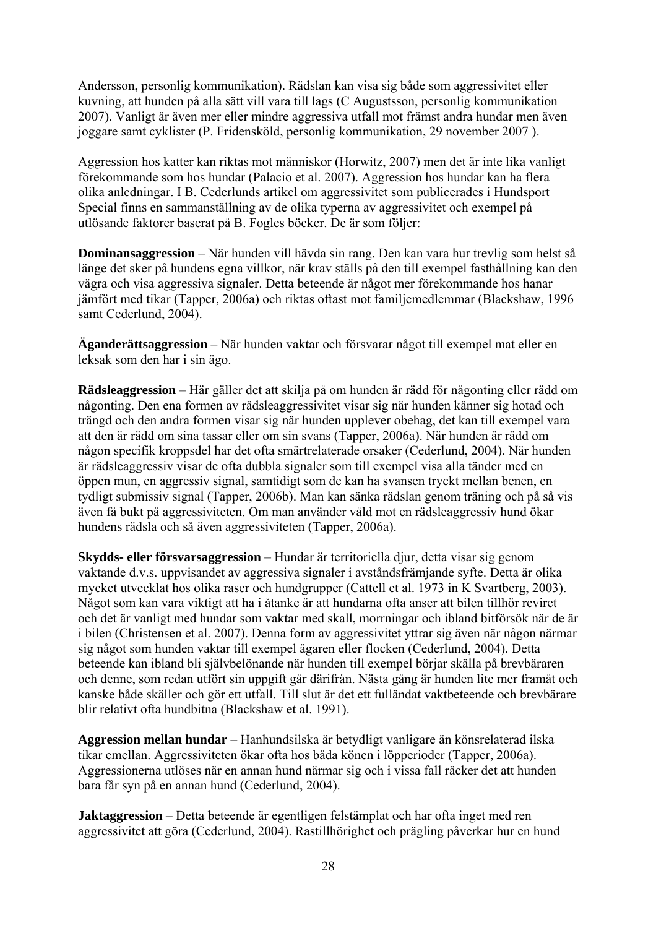Andersson, personlig kommunikation). Rädslan kan visa sig både som aggressivitet eller kuvning, att hunden på alla sätt vill vara till lags (C Augustsson, personlig kommunikation 2007). Vanligt är även mer eller mindre aggressiva utfall mot främst andra hundar men även joggare samt cyklister (P. Fridensköld, personlig kommunikation, 29 november 2007 ).

Aggression hos katter kan riktas mot människor (Horwitz, 2007) men det är inte lika vanligt förekommande som hos hundar (Palacio et al. 2007). Aggression hos hundar kan ha flera olika anledningar. I B. Cederlunds artikel om aggressivitet som publicerades i Hundsport Special finns en sammanställning av de olika typerna av aggressivitet och exempel på utlösande faktorer baserat på B. Fogles böcker. De är som följer:

**Dominansaggression** – När hunden vill hävda sin rang. Den kan vara hur trevlig som helst så länge det sker på hundens egna villkor, när krav ställs på den till exempel fasthållning kan den vägra och visa aggressiva signaler. Detta beteende är något mer förekommande hos hanar jämfört med tikar (Tapper, 2006a) och riktas oftast mot familjemedlemmar (Blackshaw, 1996 samt Cederlund, 2004).

**Äganderättsaggression** – När hunden vaktar och försvarar något till exempel mat eller en leksak som den har i sin ägo.

**Rädsleaggression** – Här gäller det att skilja på om hunden är rädd för någonting eller rädd om någonting. Den ena formen av rädsleaggressivitet visar sig när hunden känner sig hotad och trängd och den andra formen visar sig när hunden upplever obehag, det kan till exempel vara att den är rädd om sina tassar eller om sin svans (Tapper, 2006a). När hunden är rädd om någon specifik kroppsdel har det ofta smärtrelaterade orsaker (Cederlund, 2004). När hunden är rädsleaggressiv visar de ofta dubbla signaler som till exempel visa alla tänder med en öppen mun, en aggressiv signal, samtidigt som de kan ha svansen tryckt mellan benen, en tydligt submissiv signal (Tapper, 2006b). Man kan sänka rädslan genom träning och på så vis även få bukt på aggressiviteten. Om man använder våld mot en rädsleaggressiv hund ökar hundens rädsla och så även aggressiviteten (Tapper, 2006a).

**Skydds- eller försvarsaggression** – Hundar är territoriella djur, detta visar sig genom vaktande d.v.s. uppvisandet av aggressiva signaler i avståndsfrämjande syfte. Detta är olika mycket utvecklat hos olika raser och hundgrupper (Cattell et al. 1973 in K Svartberg, 2003). Något som kan vara viktigt att ha i åtanke är att hundarna ofta anser att bilen tillhör reviret och det är vanligt med hundar som vaktar med skall, morrningar och ibland bitförsök när de är i bilen (Christensen et al. 2007). Denna form av aggressivitet yttrar sig även när någon närmar sig något som hunden vaktar till exempel ägaren eller flocken (Cederlund, 2004). Detta beteende kan ibland bli självbelönande när hunden till exempel börjar skälla på brevbäraren och denne, som redan utfört sin uppgift går därifrån. Nästa gång är hunden lite mer framåt och kanske både skäller och gör ett utfall. Till slut är det ett fulländat vaktbeteende och brevbärare blir relativt ofta hundbitna (Blackshaw et al. 1991).

**Aggression mellan hundar** – Hanhundsilska är betydligt vanligare än könsrelaterad ilska tikar emellan. Aggressiviteten ökar ofta hos båda könen i löpperioder (Tapper, 2006a). Aggressionerna utlöses när en annan hund närmar sig och i vissa fall räcker det att hunden bara får syn på en annan hund (Cederlund, 2004).

**Jaktaggression** – Detta beteende är egentligen felstämplat och har ofta inget med ren aggressivitet att göra (Cederlund, 2004). Rastillhörighet och prägling påverkar hur en hund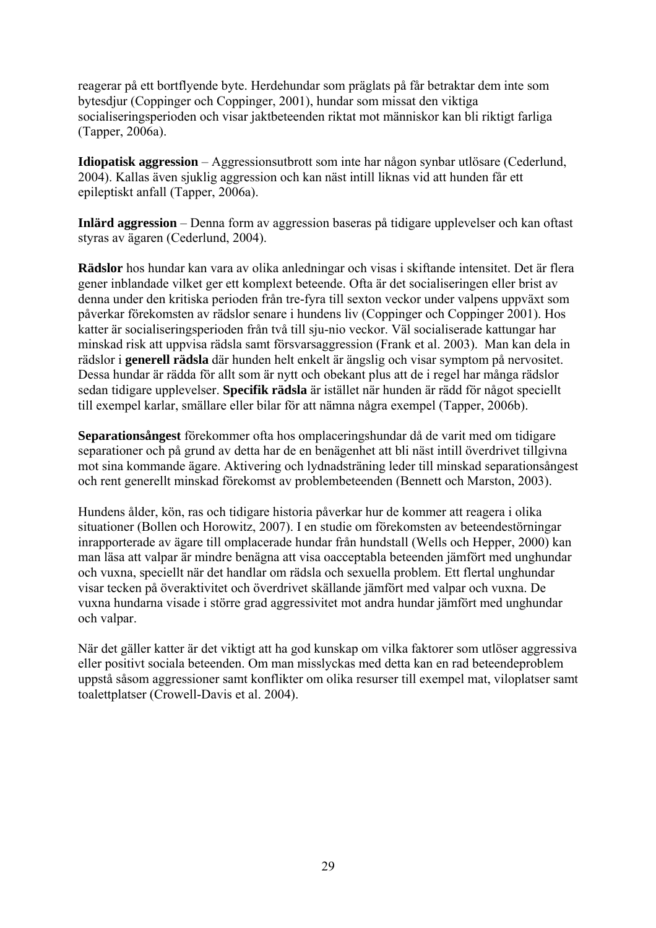reagerar på ett bortflyende byte. Herdehundar som präglats på får betraktar dem inte som bytesdjur (Coppinger och Coppinger, 2001), hundar som missat den viktiga socialiseringsperioden och visar jaktbeteenden riktat mot människor kan bli riktigt farliga (Tapper, 2006a).

**Idiopatisk aggression** – Aggressionsutbrott som inte har någon synbar utlösare (Cederlund, 2004). Kallas även sjuklig aggression och kan näst intill liknas vid att hunden får ett epileptiskt anfall (Tapper, 2006a).

**Inlärd aggression** – Denna form av aggression baseras på tidigare upplevelser och kan oftast styras av ägaren (Cederlund, 2004).

**Rädslor** hos hundar kan vara av olika anledningar och visas i skiftande intensitet. Det är flera gener inblandade vilket ger ett komplext beteende. Ofta är det socialiseringen eller brist av denna under den kritiska perioden från tre-fyra till sexton veckor under valpens uppväxt som påverkar förekomsten av rädslor senare i hundens liv (Coppinger och Coppinger 2001). Hos katter är socialiseringsperioden från två till sju-nio veckor. Väl socialiserade kattungar har minskad risk att uppvisa rädsla samt försvarsaggression (Frank et al. 2003). Man kan dela in rädslor i **generell rädsla** där hunden helt enkelt är ängslig och visar symptom på nervositet. Dessa hundar är rädda för allt som är nytt och obekant plus att de i regel har många rädslor sedan tidigare upplevelser. **Specifik rädsla** är istället när hunden är rädd för något speciellt till exempel karlar, smällare eller bilar för att nämna några exempel (Tapper, 2006b).

**Separationsångest** förekommer ofta hos omplaceringshundar då de varit med om tidigare separationer och på grund av detta har de en benägenhet att bli näst intill överdrivet tillgivna mot sina kommande ägare. Aktivering och lydnadsträning leder till minskad separationsångest och rent generellt minskad förekomst av problembeteenden (Bennett och Marston, 2003).

Hundens ålder, kön, ras och tidigare historia påverkar hur de kommer att reagera i olika situationer (Bollen och Horowitz, 2007). I en studie om förekomsten av beteendestörningar inrapporterade av ägare till omplacerade hundar från hundstall (Wells och Hepper, 2000) kan man läsa att valpar är mindre benägna att visa oacceptabla beteenden jämfört med unghundar och vuxna, speciellt när det handlar om rädsla och sexuella problem. Ett flertal unghundar visar tecken på överaktivitet och överdrivet skällande jämfört med valpar och vuxna. De vuxna hundarna visade i större grad aggressivitet mot andra hundar jämfört med unghundar och valpar.

När det gäller katter är det viktigt att ha god kunskap om vilka faktorer som utlöser aggressiva eller positivt sociala beteenden. Om man misslyckas med detta kan en rad beteendeproblem uppstå såsom aggressioner samt konflikter om olika resurser till exempel mat, viloplatser samt toalettplatser (Crowell-Davis et al. 2004).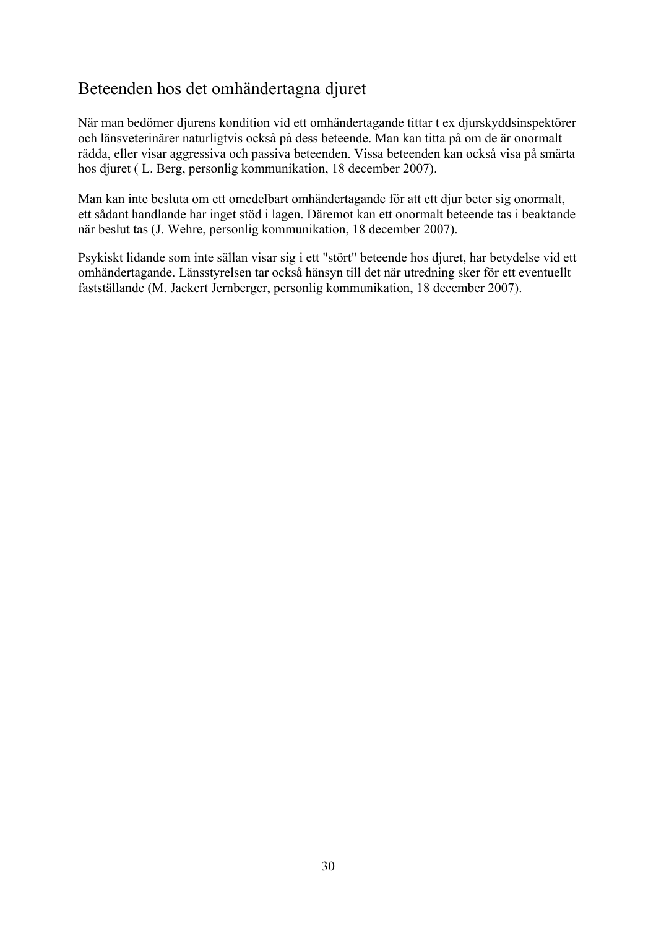## Beteenden hos det omhändertagna djuret

När man bedömer djurens kondition vid ett omhändertagande tittar t ex djurskyddsinspektörer och länsveterinärer naturligtvis också på dess beteende. Man kan titta på om de är onormalt rädda, eller visar aggressiva och passiva beteenden. Vissa beteenden kan också visa på smärta hos djuret ( L. Berg, personlig kommunikation, 18 december 2007).

Man kan inte besluta om ett omedelbart omhändertagande för att ett djur beter sig onormalt, ett sådant handlande har inget stöd i lagen. Däremot kan ett onormalt beteende tas i beaktande när beslut tas (J. Wehre, personlig kommunikation, 18 december 2007).

Psykiskt lidande som inte sällan visar sig i ett "stört" beteende hos djuret, har betydelse vid ett omhändertagande. Länsstyrelsen tar också hänsyn till det när utredning sker för ett eventuellt fastställande (M. Jackert Jernberger, personlig kommunikation, 18 december 2007).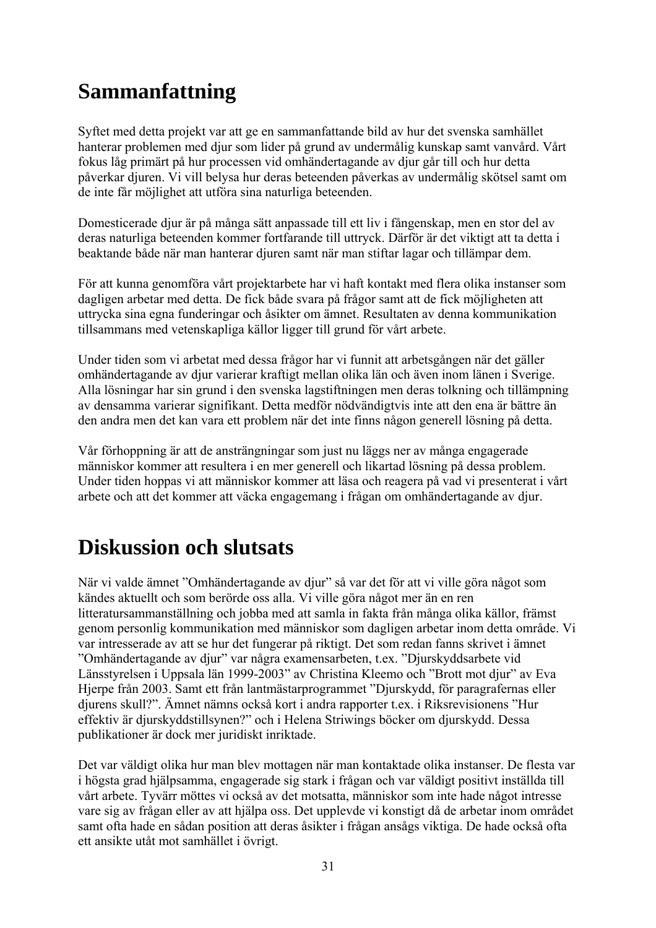## **Sammanfattning**

Syftet med detta projekt var att ge en sammanfattande bild av hur det svenska samhället hanterar problemen med djur som lider på grund av undermålig kunskap samt vanvård. Vårt fokus låg primärt på hur processen vid omhändertagande av djur går till och hur detta påverkar djuren. Vi vill belysa hur deras beteenden påverkas av undermålig skötsel samt om de inte får möjlighet att utföra sina naturliga beteenden.

Domesticerade djur är på många sätt anpassade till ett liv i fångenskap, men en stor del av deras naturliga beteenden kommer fortfarande till uttryck. Därför är det viktigt att ta detta i beaktande både när man hanterar djuren samt när man stiftar lagar och tillämpar dem.

För att kunna genomföra vårt projektarbete har vi haft kontakt med flera olika instanser som dagligen arbetar med detta. De fick både svara på frågor samt att de fick möjligheten att uttrycka sina egna funderingar och åsikter om ämnet. Resultaten av denna kommunikation tillsammans med vetenskapliga källor ligger till grund för vårt arbete.

Under tiden som vi arbetat med dessa frågor har vi funnit att arbetsgången när det gäller omhändertagande av djur varierar kraftigt mellan olika län och även inom länen i Sverige. Alla lösningar har sin grund i den svenska lagstiftningen men deras tolkning och tillämpning av densamma varierar signifikant. Detta medför nödvändigtvis inte att den ena är bättre än den andra men det kan vara ett problem när det inte finns någon generell lösning på detta.

Vår förhoppning är att de ansträngningar som just nu läggs ner av många engagerade människor kommer att resultera i en mer generell och likartad lösning på dessa problem. Under tiden hoppas vi att människor kommer att läsa och reagera på vad vi presenterat i vårt arbete och att det kommer att väcka engagemang i frågan om omhändertagande av djur.

## **Diskussion och slutsats**

När vi valde ämnet "Omhändertagande av djur" så var det för att vi ville göra något som kändes aktuellt och som berörde oss alla. Vi ville göra något mer än en ren litteratursammanställning och jobba med att samla in fakta från många olika källor, främst genom personlig kommunikation med människor som dagligen arbetar inom detta område. Vi var intresserade av att se hur det fungerar på riktigt. Det som redan fanns skrivet i ämnet "Omhändertagande av djur" var några examensarbeten, t.ex. "Djurskyddsarbete vid Länsstyrelsen i Uppsala län 1999-2003" av Christina Kleemo och "Brott mot djur" av Eva Hjerpe från 2003. Samt ett från lantmästarprogrammet "Djurskydd, för paragrafernas eller djurens skull?". Ämnet nämns också kort i andra rapporter t.ex. i Riksrevisionens "Hur effektiv är djurskyddstillsynen?" och i Helena Striwings böcker om djurskydd. Dessa publikationer är dock mer juridiskt inriktade.

Det var väldigt olika hur man blev mottagen när man kontaktade olika instanser. De flesta var i högsta grad hjälpsamma, engagerade sig stark i frågan och var väldigt positivt inställda till vårt arbete. Tyvärr möttes vi också av det motsatta, människor som inte hade något intresse vare sig av frågan eller av att hjälpa oss. Det upplevde vi konstigt då de arbetar inom området samt ofta hade en sådan position att deras åsikter i frågan ansågs viktiga. De hade också ofta ett ansikte utåt mot samhället i övrigt.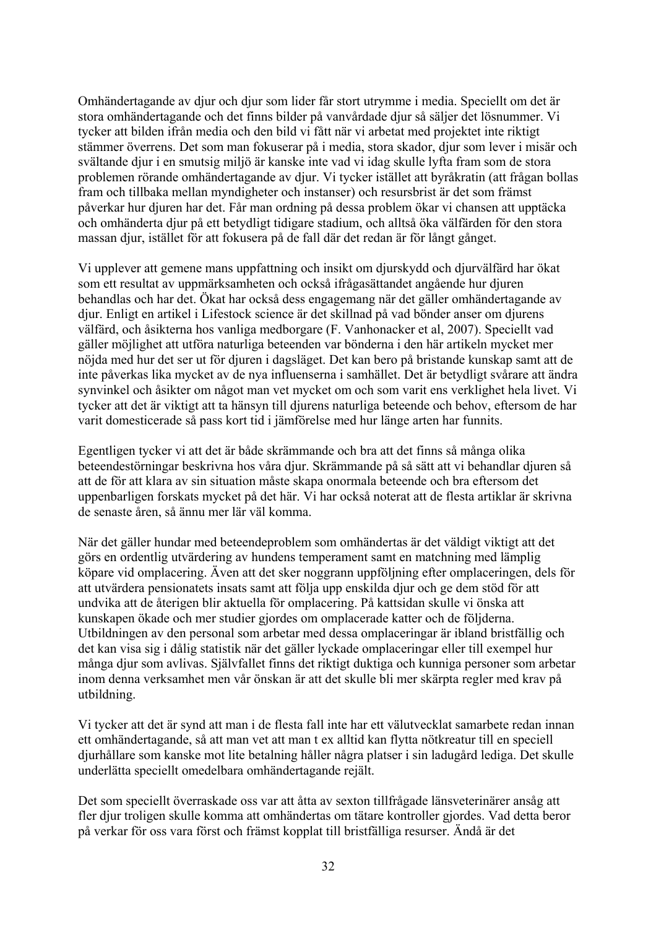Omhändertagande av djur och djur som lider får stort utrymme i media. Speciellt om det är stora omhändertagande och det finns bilder på vanvårdade djur så säljer det lösnummer. Vi tycker att bilden ifrån media och den bild vi fått när vi arbetat med projektet inte riktigt stämmer överrens. Det som man fokuserar på i media, stora skador, djur som lever i misär och svältande djur i en smutsig miljö är kanske inte vad vi idag skulle lyfta fram som de stora problemen rörande omhändertagande av djur. Vi tycker istället att byråkratin (att frågan bollas fram och tillbaka mellan myndigheter och instanser) och resursbrist är det som främst påverkar hur djuren har det. Får man ordning på dessa problem ökar vi chansen att upptäcka och omhänderta djur på ett betydligt tidigare stadium, och alltså öka välfärden för den stora massan djur, istället för att fokusera på de fall där det redan är för långt gånget.

Vi upplever att gemene mans uppfattning och insikt om djurskydd och djurvälfärd har ökat som ett resultat av uppmärksamheten och också ifrågasättandet angående hur djuren behandlas och har det. Ökat har också dess engagemang när det gäller omhändertagande av djur. Enligt en artikel i Lifestock science är det skillnad på vad bönder anser om djurens välfärd, och åsikterna hos vanliga medborgare (F. Vanhonacker et al, 2007). Speciellt vad gäller möjlighet att utföra naturliga beteenden var bönderna i den här artikeln mycket mer nöjda med hur det ser ut för djuren i dagsläget. Det kan bero på bristande kunskap samt att de inte påverkas lika mycket av de nya influenserna i samhället. Det är betydligt svårare att ändra synvinkel och åsikter om något man vet mycket om och som varit ens verklighet hela livet. Vi tycker att det är viktigt att ta hänsyn till djurens naturliga beteende och behov, eftersom de har varit domesticerade så pass kort tid i jämförelse med hur länge arten har funnits.

Egentligen tycker vi att det är både skrämmande och bra att det finns så många olika beteendestörningar beskrivna hos våra djur. Skrämmande på så sätt att vi behandlar djuren så att de för att klara av sin situation måste skapa onormala beteende och bra eftersom det uppenbarligen forskats mycket på det här. Vi har också noterat att de flesta artiklar är skrivna de senaste åren, så ännu mer lär väl komma.

När det gäller hundar med beteendeproblem som omhändertas är det väldigt viktigt att det görs en ordentlig utvärdering av hundens temperament samt en matchning med lämplig köpare vid omplacering. Även att det sker noggrann uppföljning efter omplaceringen, dels för att utvärdera pensionatets insats samt att följa upp enskilda djur och ge dem stöd för att undvika att de återigen blir aktuella för omplacering. På kattsidan skulle vi önska att kunskapen ökade och mer studier gjordes om omplacerade katter och de följderna. Utbildningen av den personal som arbetar med dessa omplaceringar är ibland bristfällig och det kan visa sig i dålig statistik när det gäller lyckade omplaceringar eller till exempel hur många djur som avlivas. Självfallet finns det riktigt duktiga och kunniga personer som arbetar inom denna verksamhet men vår önskan är att det skulle bli mer skärpta regler med krav på utbildning.

Vi tycker att det är synd att man i de flesta fall inte har ett välutvecklat samarbete redan innan ett omhändertagande, så att man vet att man t ex alltid kan flytta nötkreatur till en speciell djurhållare som kanske mot lite betalning håller några platser i sin ladugård lediga. Det skulle underlätta speciellt omedelbara omhändertagande rejält.

Det som speciellt överraskade oss var att åtta av sexton tillfrågade länsveterinärer ansåg att fler djur troligen skulle komma att omhändertas om tätare kontroller gjordes. Vad detta beror på verkar för oss vara först och främst kopplat till bristfälliga resurser. Ändå är det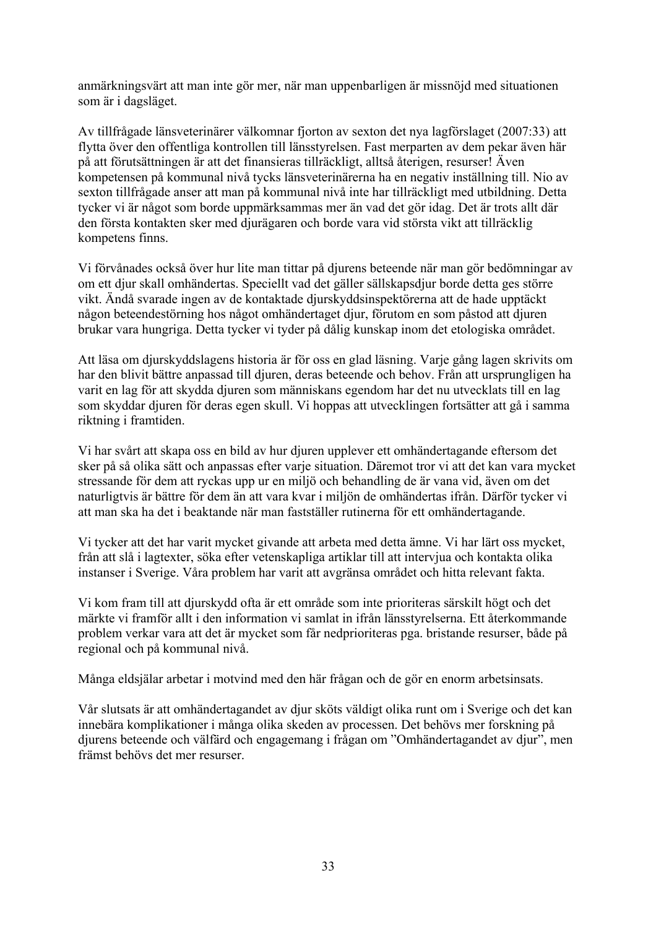anmärkningsvärt att man inte gör mer, när man uppenbarligen är missnöjd med situationen som är i dagsläget.

Av tillfrågade länsveterinärer välkomnar fjorton av sexton det nya lagförslaget (2007:33) att flytta över den offentliga kontrollen till länsstyrelsen. Fast merparten av dem pekar även här på att förutsättningen är att det finansieras tillräckligt, alltså återigen, resurser! Även kompetensen på kommunal nivå tycks länsveterinärerna ha en negativ inställning till. Nio av sexton tillfrågade anser att man på kommunal nivå inte har tillräckligt med utbildning. Detta tycker vi är något som borde uppmärksammas mer än vad det gör idag. Det är trots allt där den första kontakten sker med djurägaren och borde vara vid största vikt att tillräcklig kompetens finns.

Vi förvånades också över hur lite man tittar på djurens beteende när man gör bedömningar av om ett djur skall omhändertas. Speciellt vad det gäller sällskapsdjur borde detta ges större vikt. Ändå svarade ingen av de kontaktade djurskyddsinspektörerna att de hade upptäckt någon beteendestörning hos något omhändertaget djur, förutom en som påstod att djuren brukar vara hungriga. Detta tycker vi tyder på dålig kunskap inom det etologiska området.

Att läsa om djurskyddslagens historia är för oss en glad läsning. Varje gång lagen skrivits om har den blivit bättre anpassad till djuren, deras beteende och behov. Från att ursprungligen ha varit en lag för att skydda djuren som människans egendom har det nu utvecklats till en lag som skyddar djuren för deras egen skull. Vi hoppas att utvecklingen fortsätter att gå i samma riktning i framtiden.

Vi har svårt att skapa oss en bild av hur djuren upplever ett omhändertagande eftersom det sker på så olika sätt och anpassas efter varje situation. Däremot tror vi att det kan vara mycket stressande för dem att ryckas upp ur en miljö och behandling de är vana vid, även om det naturligtvis är bättre för dem än att vara kvar i miljön de omhändertas ifrån. Därför tycker vi att man ska ha det i beaktande när man fastställer rutinerna för ett omhändertagande.

Vi tycker att det har varit mycket givande att arbeta med detta ämne. Vi har lärt oss mycket, från att slå i lagtexter, söka efter vetenskapliga artiklar till att intervjua och kontakta olika instanser i Sverige. Våra problem har varit att avgränsa området och hitta relevant fakta.

Vi kom fram till att djurskydd ofta är ett område som inte prioriteras särskilt högt och det märkte vi framför allt i den information vi samlat in ifrån länsstyrelserna. Ett återkommande problem verkar vara att det är mycket som får nedprioriteras pga. bristande resurser, både på regional och på kommunal nivå.

Många eldsjälar arbetar i motvind med den här frågan och de gör en enorm arbetsinsats.

Vår slutsats är att omhändertagandet av djur sköts väldigt olika runt om i Sverige och det kan innebära komplikationer i många olika skeden av processen. Det behövs mer forskning på djurens beteende och välfärd och engagemang i frågan om "Omhändertagandet av djur", men främst behövs det mer resurser.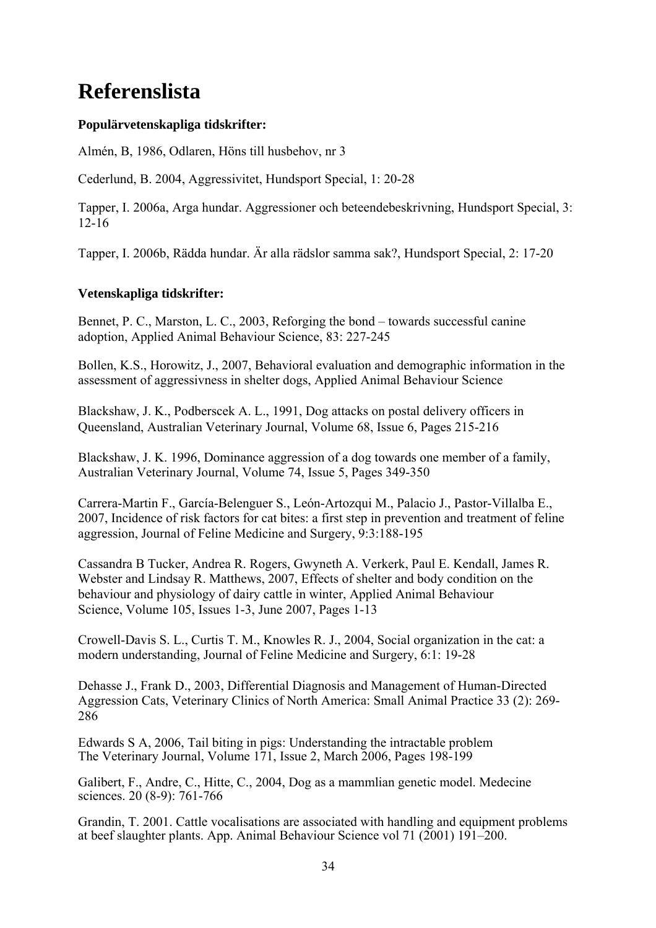## **Referenslista**

## **Populärvetenskapliga tidskrifter:**

Almén, B, 1986, Odlaren, Höns till husbehov, nr 3

Cederlund, B. 2004, Aggressivitet, Hundsport Special, 1: 20-28

Tapper, I. 2006a, Arga hundar. Aggressioner och beteendebeskrivning, Hundsport Special, 3: 12-16

Tapper, I. 2006b, Rädda hundar. Är alla rädslor samma sak?, Hundsport Special, 2: 17-20

## **Vetenskapliga tidskrifter:**

Bennet, P. C., Marston, L. C., 2003, Reforging the bond – towards successful canine adoption, Applied Animal Behaviour Science, 83: 227-245

Bollen, K.S., Horowitz, J., 2007, Behavioral evaluation and demographic information in the assessment of aggressivness in shelter dogs, Applied Animal Behaviour Science

Blackshaw, J. K., Podberscek A. L., 1991, Dog attacks on postal delivery officers in Queensland, Australian Veterinary Journal, Volume 68, Issue 6, Pages 215-216

Blackshaw, J. K. 1996, Dominance aggression of a dog towards one member of a family, Australian Veterinary Journal, Volume 74, Issue 5, Pages 349-350

Carrera-Martin F., García-Belenguer S., León-Artozqui M., Palacio J., Pastor-Villalba E., 2007, Incidence of risk factors for cat bites: a first step in prevention and treatment of feline aggression, Journal of Feline Medicine and Surgery, 9:3:188-195

Cassandra B Tucker, Andrea R. Rogers, Gwyneth A. Verkerk, Paul E. Kendall, James R. Webster and Lindsay R. Matthews, 2007, Effects of shelter and body condition on the behaviour and physiology of dairy cattle in winter, Applied Animal Behaviour Science, Volume 105, Issues 1-3, June 2007, Pages 1-13

Crowell-Davis S. L., Curtis T. M., Knowles R. J., 2004, Social organization in the cat: a modern understanding, Journal of Feline Medicine and Surgery, 6:1: 19-28

Dehasse J., Frank D., 2003, Differential Diagnosis and Management of Human-Directed Aggression Cats, Veterinary Clinics of North America: Small Animal Practice 33 (2): 269- 286

Edwards S A, 2006, Tail biting in pigs: Understanding the intractable problem The Veterinary Journal, Volume 171, Issue 2, March 2006, Pages 198-199

Galibert, F., Andre, C., Hitte, C., 2004, Dog as a mammlian genetic model. Medecine sciences. 20 (8-9): 761-766

Grandin, T. 2001. Cattle vocalisations are associated with handling and equipment problems at beef slaughter plants. App. Animal Behaviour Science vol 71 (2001) 191–200.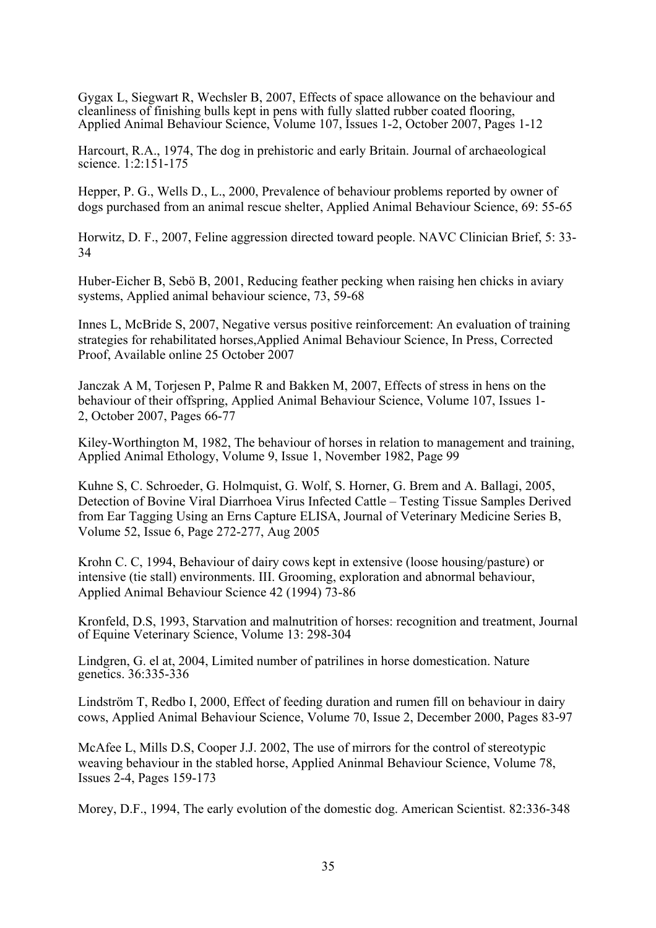Gygax L, Siegwart R, Wechsler B, 2007, Effects of space allowance on the behaviour and cleanliness of finishing bulls kept in pens with fully slatted rubber coated flooring, Applied Animal Behaviour Science, Volume 107, Issues 1-2, October 2007, Pages 1-12

Harcourt, R.A., 1974, The dog in prehistoric and early Britain. Journal of archaeological science. 1:2:151-175

Hepper, P. G., Wells D., L., 2000, Prevalence of behaviour problems reported by owner of dogs purchased from an animal rescue shelter, Applied Animal Behaviour Science, 69: 55-65

Horwitz, D. F., 2007, Feline aggression directed toward people. NAVC Clinician Brief, 5: 33- 34

Huber-Eicher B, Sebö B, 2001, Reducing feather pecking when raising hen chicks in aviary systems, Applied animal behaviour science, 73, 59-68

Innes L, McBride S, 2007, Negative versus positive reinforcement: An evaluation of training strategies for rehabilitated horses,Applied Animal Behaviour Science, In Press, Corrected Proof, Available online 25 October 2007

Janczak A M, Torjesen P, Palme R and Bakken M, 2007, Effects of stress in hens on the behaviour of their offspring, Applied Animal Behaviour Science, Volume 107, Issues 1- 2, October 2007, Pages 66-77

Kiley-Worthington M, 1982, The behaviour of horses in relation to management and training, Applied Animal Ethology, Volume 9, Issue 1, November 1982, Page 99

Kuhne S, C. Schroeder, G. Holmquist, G. Wolf, S. Horner, G. Brem and A. Ballagi, 2005, Detection of Bovine Viral Diarrhoea Virus Infected Cattle – Testing Tissue Samples Derived from Ear Tagging Using an Erns Capture ELISA, Journal of Veterinary Medicine Series B, Volume 52, Issue 6, Page 272-277, Aug 2005

Krohn C. C, 1994, Behaviour of dairy cows kept in extensive (loose housing/pasture) or intensive (tie stall) environments. III. Grooming, exploration and abnormal behaviour, Applied Animal Behaviour Science 42 (1994) 73-86

Kronfeld, D.S, 1993, Starvation and malnutrition of horses: recognition and treatment, Journal of Equine Veterinary Science, Volume 13: 298-304

Lindgren, G. el at, 2004, Limited number of patrilines in horse domestication. Nature genetics. 36:335-336

Lindström T, Redbo I, 2000, Effect of feeding duration and rumen fill on behaviour in dairy cows, Applied Animal Behaviour Science, Volume 70, Issue 2, December 2000, Pages 83-97

McAfee L, Mills D.S, Cooper J.J. 2002, The use of mirrors for the control of stereotypic weaving behaviour in the stabled horse, Applied Aninmal Behaviour Science, Volume 78, Issues 2-4, Pages 159-173

Morey, D.F., 1994, The early evolution of the domestic dog. American Scientist. 82:336-348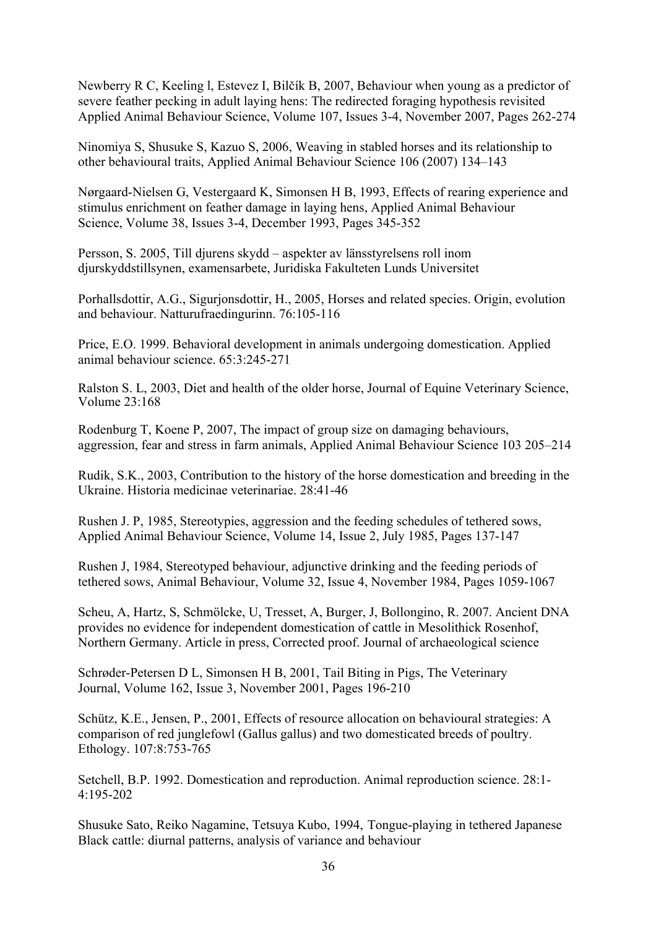Newberry R C, Keeling l, Estevez I, Bilčík B, 2007, Behaviour when young as a predictor of severe feather pecking in adult laying hens: The redirected foraging hypothesis revisited Applied Animal Behaviour Science, Volume 107, Issues 3-4, November 2007, Pages 262-274

Ninomiya S, Shusuke S, Kazuo S, 2006, Weaving in stabled horses and its relationship to other behavioural traits, Applied Animal Behaviour Science 106 (2007) 134–143

Nørgaard-Nielsen G, Vestergaard K, Simonsen H B, 1993, Effects of rearing experience and stimulus enrichment on feather damage in laying hens, Applied Animal Behaviour Science, Volume 38, Issues 3-4, December 1993, Pages 345-352

Persson, S. 2005, Till djurens skydd – aspekter av länsstyrelsens roll inom djurskyddstillsynen, examensarbete, Juridiska Fakulteten Lunds Universitet

Porhallsdottir, A.G., Sigurjonsdottir, H., 2005, Horses and related species. Origin, evolution and behaviour. Natturufraedingurinn. 76:105-116

Price, E.O. 1999. Behavioral development in animals undergoing domestication. Applied animal behaviour science. 65:3:245-271

Ralston S. L, 2003, Diet and health of the older horse, Journal of Equine Veterinary Science, Volume 23:168

Rodenburg T, Koene P, 2007, The impact of group size on damaging behaviours, aggression, fear and stress in farm animals, Applied Animal Behaviour Science 103 205–214

Rudik, S.K., 2003, Contribution to the history of the horse domestication and breeding in the Ukraine. Historia medicinae veterinariae. 28:41-46

Rushen J. P, 1985, Stereotypies, aggression and the feeding schedules of tethered sows, Applied Animal Behaviour Science, Volume 14, Issue 2, July 1985, Pages 137-147

Rushen J, 1984, Stereotyped behaviour, adjunctive drinking and the feeding periods of tethered sows, Animal Behaviour, Volume 32, Issue 4, November 1984, Pages 1059-1067

Scheu, A, Hartz, S, Schmölcke, U, Tresset, A, Burger, J, Bollongino, R. 2007. Ancient DNA provides no evidence for independent domestication of cattle in Mesolithick Rosenhof, Northern Germany. Article in press, Corrected proof. Journal of archaeological science

Schrøder-Petersen D L, Simonsen H B, 2001, Tail Biting in Pigs, The Veterinary Journal, Volume 162, Issue 3, November 2001, Pages 196-210

Schütz, K.E., Jensen, P., 2001, Effects of resource allocation on behavioural strategies: A comparison of red junglefowl (Gallus gallus) and two domesticated breeds of poultry. Ethology. 107:8:753-765

Setchell, B.P. 1992. Domestication and reproduction. Animal reproduction science. 28:1- 4:195-202

Shusuke Sato, Reiko Nagamine, Tetsuya Kubo, 1994, Tongue-playing in tethered Japanese Black cattle: diurnal patterns, analysis of variance and behaviour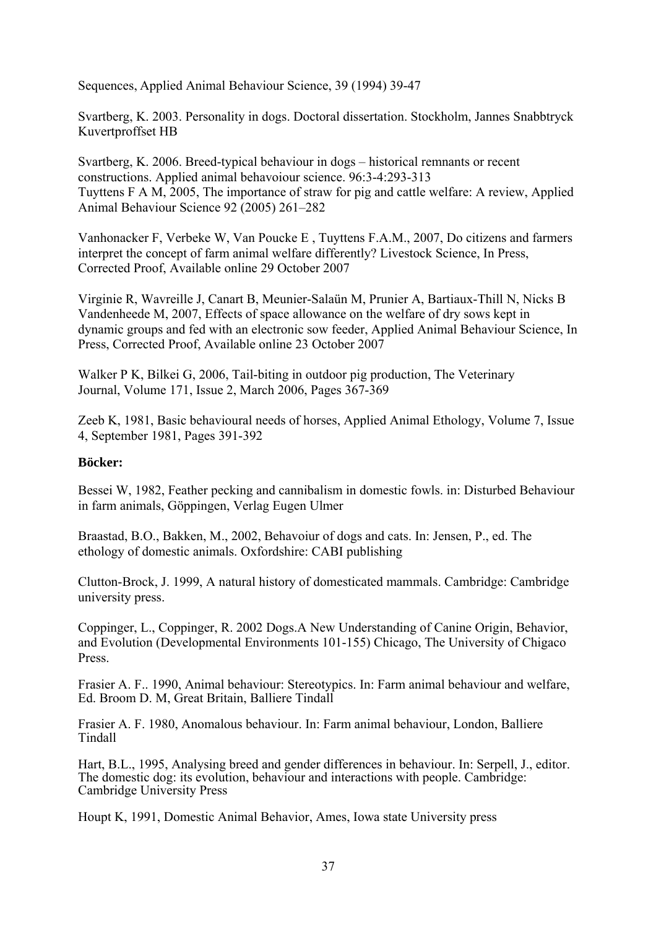Sequences, Applied Animal Behaviour Science, 39 (1994) 39-47

Svartberg, K. 2003. Personality in dogs. Doctoral dissertation. Stockholm, Jannes Snabbtryck Kuvertproffset HB

Svartberg, K. 2006. Breed-typical behaviour in dogs – historical remnants or recent constructions. Applied animal behavoiour science. 96:3-4:293-313 Tuyttens F A M, 2005, The importance of straw for pig and cattle welfare: A review, Applied Animal Behaviour Science 92 (2005) 261–282

Vanhonacker F, Verbeke W, Van Poucke E , Tuyttens F.A.M., 2007, Do citizens and farmers interpret the concept of farm animal welfare differently? Livestock Science, In Press, Corrected Proof, Available online 29 October 2007

Virginie R, Wavreille J, Canart B, Meunier-Salaün M, Prunier A, Bartiaux-Thill N, Nicks B Vandenheede M, 2007, Effects of space allowance on the welfare of dry sows kept in dynamic groups and fed with an electronic sow feeder, Applied Animal Behaviour Science, In Press, Corrected Proof, Available online 23 October 2007

Walker P K, Bilkei G, 2006, Tail-biting in outdoor pig production, The Veterinary Journal, Volume 171, Issue 2, March 2006, Pages 367-369

Zeeb K, 1981, Basic behavioural needs of horses, Applied Animal Ethology, Volume 7, Issue 4, September 1981, Pages 391-392

#### **Böcker:**

Bessei W, 1982, Feather pecking and cannibalism in domestic fowls. in: Disturbed Behaviour in farm animals, Göppingen, Verlag Eugen Ulmer

Braastad, B.O., Bakken, M., 2002, Behavoiur of dogs and cats. In: Jensen, P., ed. The ethology of domestic animals. Oxfordshire: CABI publishing

Clutton-Brock, J. 1999, A natural history of domesticated mammals. Cambridge: Cambridge university press.

Coppinger, L., Coppinger, R. 2002 Dogs.A New Understanding of Canine Origin, Behavior, and Evolution (Developmental Environments 101-155) Chicago, The University of Chigaco Press.

Frasier A. F.. 1990, Animal behaviour: Stereotypics. In: Farm animal behaviour and welfare, Ed. Broom D. M, Great Britain, Balliere Tindall

Frasier A. F. 1980, Anomalous behaviour. In: Farm animal behaviour, London, Balliere Tindall

Hart, B.L., 1995, Analysing breed and gender differences in behaviour. In: Serpell, J., editor. The domestic dog: its evolution, behaviour and interactions with people. Cambridge: Cambridge University Press

Houpt K, 1991, Domestic Animal Behavior, Ames, Iowa state University press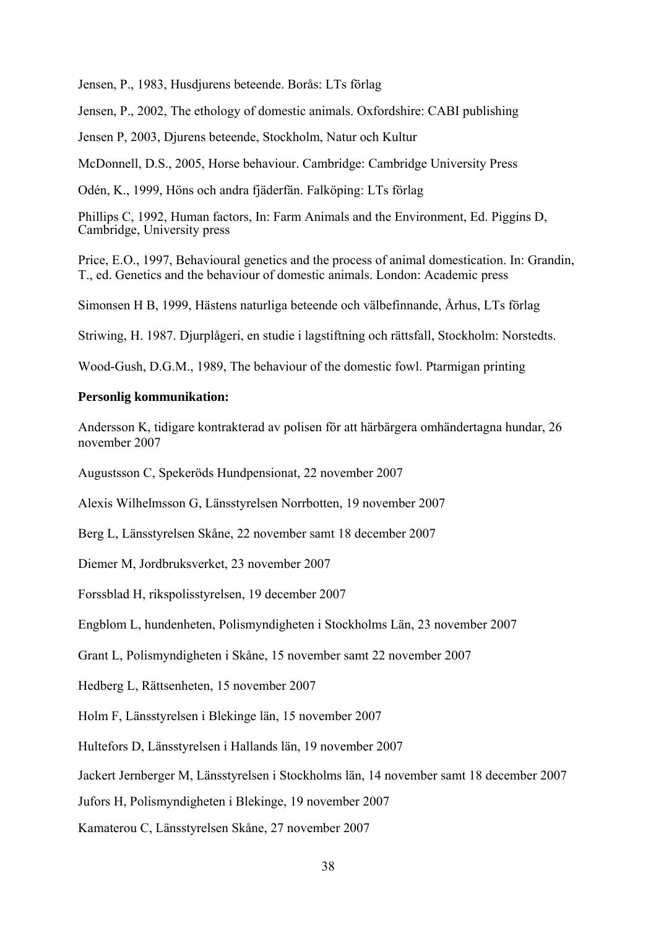Jensen, P., 1983, Husdjurens beteende. Borås: LTs förlag

Jensen, P., 2002, The ethology of domestic animals. Oxfordshire: CABI publishing

Jensen P, 2003, Djurens beteende, Stockholm, Natur och Kultur

McDonnell, D.S., 2005, Horse behaviour. Cambridge: Cambridge University Press

Odén, K., 1999, Höns och andra fjäderfän. Falköping: LTs förlag

Phillips C, 1992, Human factors, In: Farm Animals and the Environment, Ed. Piggins D, Cambridge, University press

Price, E.O., 1997, Behavioural genetics and the process of animal domestication. In: Grandin, T., ed. Genetics and the behaviour of domestic animals. London: Academic press

Simonsen H B, 1999, Hästens naturliga beteende och välbefinnande, Århus, LTs förlag

Striwing, H. 1987. Djurplågeri, en studie i lagstiftning och rättsfall, Stockholm: Norstedts.

Wood-Gush, D.G.M., 1989, The behaviour of the domestic fowl. Ptarmigan printing

#### **Personlig kommunikation:**

Andersson K, tidigare kontrakterad av polisen för att härbärgera omhändertagna hundar, 26 november 2007

Augustsson C, Spekeröds Hundpensionat, 22 november 2007

Alexis Wilhelmsson G, Länsstyrelsen Norrbotten, 19 november 2007

Berg L, Länsstyrelsen Skåne, 22 november samt 18 december 2007

Diemer M, Jordbruksverket, 23 november 2007

Forssblad H, rikspolisstyrelsen, 19 december 2007

Engblom L, hundenheten, Polismyndigheten i Stockholms Län, 23 november 2007

Grant L, Polismyndigheten i Skåne, 15 november samt 22 november 2007

Hedberg L, Rättsenheten, 15 november 2007

Holm F, Länsstyrelsen i Blekinge län, 15 november 2007

Hultefors D, Länsstyrelsen i Hallands län, 19 november 2007

Jackert Jernberger M, Länsstyrelsen i Stockholms län, 14 november samt 18 december 2007

Jufors H, Polismyndigheten i Blekinge, 19 november 2007

Kamaterou C, Länsstyrelsen Skåne, 27 november 2007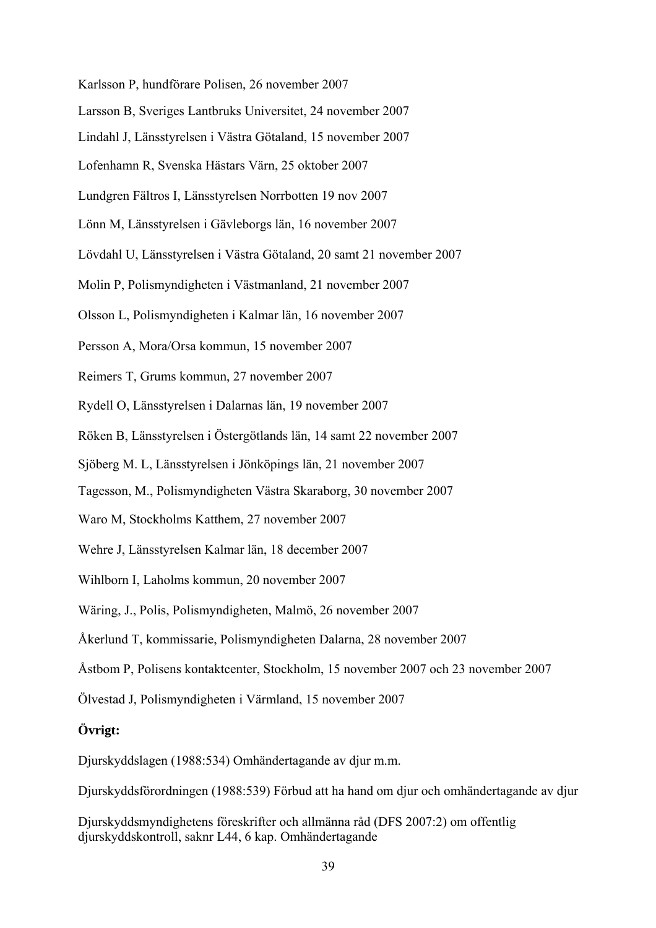- Karlsson P, hundförare Polisen, 26 november 2007
- Larsson B, Sveriges Lantbruks Universitet, 24 november 2007
- Lindahl J, Länsstyrelsen i Västra Götaland, 15 november 2007
- Lofenhamn R, Svenska Hästars Värn, 25 oktober 2007
- Lundgren Fältros I, Länsstyrelsen Norrbotten 19 nov 2007
- Lönn M, Länsstyrelsen i Gävleborgs län, 16 november 2007
- Lövdahl U, Länsstyrelsen i Västra Götaland, 20 samt 21 november 2007
- Molin P, Polismyndigheten i Västmanland, 21 november 2007
- Olsson L, Polismyndigheten i Kalmar län, 16 november 2007
- Persson A, Mora/Orsa kommun, 15 november 2007
- Reimers T, Grums kommun, 27 november 2007
- Rydell O, Länsstyrelsen i Dalarnas län, 19 november 2007
- Röken B, Länsstyrelsen i Östergötlands län, 14 samt 22 november 2007
- Sjöberg M. L, Länsstyrelsen i Jönköpings län, 21 november 2007
- Tagesson, M., Polismyndigheten Västra Skaraborg, 30 november 2007
- Waro M, Stockholms Katthem, 27 november 2007
- Wehre J, Länsstyrelsen Kalmar län, 18 december 2007
- Wihlborn I, Laholms kommun, 20 november 2007
- Wäring, J., Polis, Polismyndigheten, Malmö, 26 november 2007
- Åkerlund T, kommissarie, Polismyndigheten Dalarna, 28 november 2007
- Åstbom P, Polisens kontaktcenter, Stockholm, 15 november 2007 och 23 november 2007
- Ölvestad J, Polismyndigheten i Värmland, 15 november 2007

#### **Övrigt:**

[Djurskyddslagen \(1988:534\)](http://62.95.69.15/cgi-bin/thw?%24%7BHTML%7D=sfst_lst&%24%7BOOHTML%7D=sfst_dok&%24%7BSNHTML%7D=sfst_err&%24%7BMAXPAGE%7D=26&%24%7BTRIPSHOW%7D=format%3DTHW&%24%7BBASE%7D=SFST&%24%7BFORD%7D=FIND&%24%7BFREETEXT%7D=&BET=1988%3A534&RUB=&ORG=&%24%7BSORT%7D=%C5R%2CLPNR+) Omhändertagande av djur m.m.

[Djurskyddsförordningen \(1988:539\)](http://62.95.69.15/cgi-bin/thw?%24%7BHTML%7D=sfst_lst&%24%7BOOHTML%7D=sfst_dok&%24%7BSNHTML%7D=sfst_err&%24%7BMAXPAGE%7D=26&%24%7BTRIPSHOW%7D=format%3DTHW&%24%7BBASE%7D=SFST&%24%7BFORD%7D=FIND&%24%7BFREETEXT%7D=&BET=1988%3A539&RUB=&ORG=&%24%7BSORT%7D=%C5R%2CLPNR+) Förbud att ha hand om djur och omhändertagande av djur

Djurskyddsmyndighetens föreskrifter och allmänna råd (DFS 2007:2) om offentlig djurskyddskontroll, saknr L44, 6 kap. Omhändertagande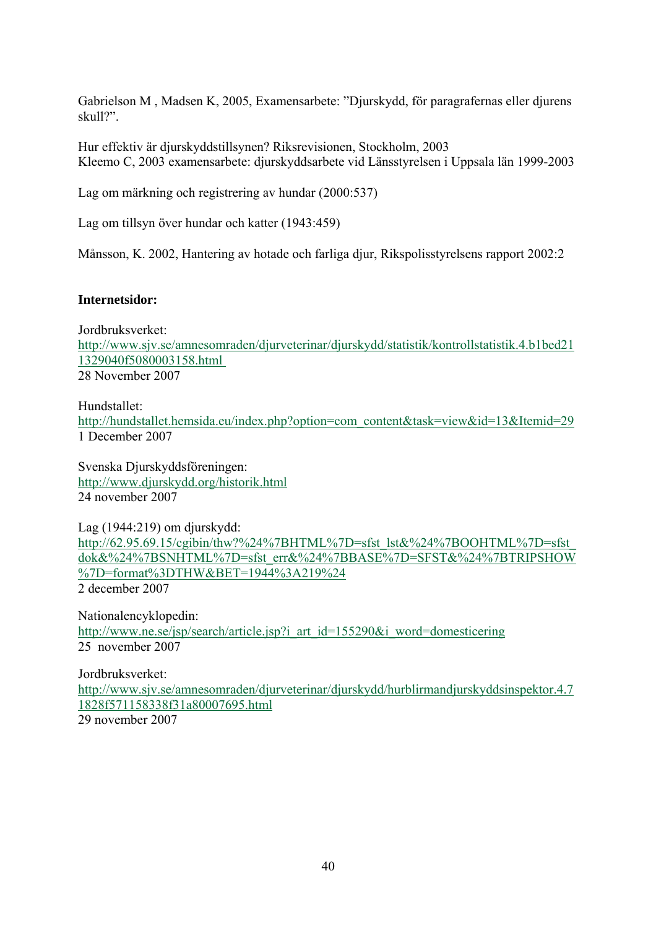Gabrielson M , Madsen K, 2005, Examensarbete: "Djurskydd, för paragrafernas eller djurens skull?".

Hur effektiv är djurskyddstillsynen? Riksrevisionen, Stockholm, 2003 Kleemo C, 2003 examensarbete: djurskyddsarbete vid Länsstyrelsen i Uppsala län 1999-2003

Lag om märkning och registrering av hundar (2000:537)

Lag om tillsyn över hundar och katter (1943:459)

Månsson, K. 2002, Hantering av hotade och farliga djur, Rikspolisstyrelsens rapport 2002:2

#### **Internetsidor:**

Jordbruksverket: [http://www.sjv.se/amnesomraden/djurveterinar/djurskydd/statistik/kontrollstatistik.4.b1bed21](http://www.sjv.se/amnesomraden/djurveterinar/djurskydd/statistik/kontrollstatistik.4.b1bed211329040f5080003158.html%2028%20november%202007) [1329040f5080003158.html](http://www.sjv.se/amnesomraden/djurveterinar/djurskydd/statistik/kontrollstatistik.4.b1bed211329040f5080003158.html%2028%20november%202007)  28 November 2007

Hundstallet: [http://hundstallet.hemsida.eu/index.php?option=com\\_content&task=view&id=13&Itemid=29](http://hundstallet.hemsida.eu/index.php?option=com_content&task=view&id=13&Itemid=29) 1 December 2007

Svenska Djurskyddsföreningen: <http://www.djurskydd.org/historik.html> 24 november 2007

Lag (1944:219) om djurskydd: http://62.95.69.15/cgibin/thw?%24%7BHTML%7D=sfst\_lst&%24%7BOOHTML%7D=sfst [dok&%24%7BSNHTML%7D=sfst\\_err&%24%7BBASE%7D=SFST&%24%7BTRIPSHOW](http://62.95.69.15/cgibin/thw?%24%7BHTML%7D=sfst_lst&%24%7BOOHTML%7D=sfst_dok&%24%7BSNHTML%7D=sfst_err&%24%7BBASE%7D=SFST&%24%7BTRIPSHOW%7D=format%3DTHW&BET=1944%3A219%24) [%7D=format%3DTHW&BET=1944%3A219%24](http://62.95.69.15/cgibin/thw?%24%7BHTML%7D=sfst_lst&%24%7BOOHTML%7D=sfst_dok&%24%7BSNHTML%7D=sfst_err&%24%7BBASE%7D=SFST&%24%7BTRIPSHOW%7D=format%3DTHW&BET=1944%3A219%24) 2 december 2007

Nationalencyklopedin: [http://www.ne.se/jsp/search/article.jsp?i\\_art\\_id=155290&i\\_word=domesticering](http://www.ne.se/jsp/search/article.jsp?i_art_id=155290&i_word=domesticering) 25 november 2007

Jordbruksverket: [http://www.sjv.se/amnesomraden/djurveterinar/djurskydd/hurblirmandjurskyddsinspektor.4.7](http://www.sjv.se/amnesomraden/djurveterinar/djurskydd/hurblirmandjurskyddsinspektor.4.71828f571158338f31a80007695.html) [1828f571158338f31a80007695.html](http://www.sjv.se/amnesomraden/djurveterinar/djurskydd/hurblirmandjurskyddsinspektor.4.71828f571158338f31a80007695.html) 29 november 2007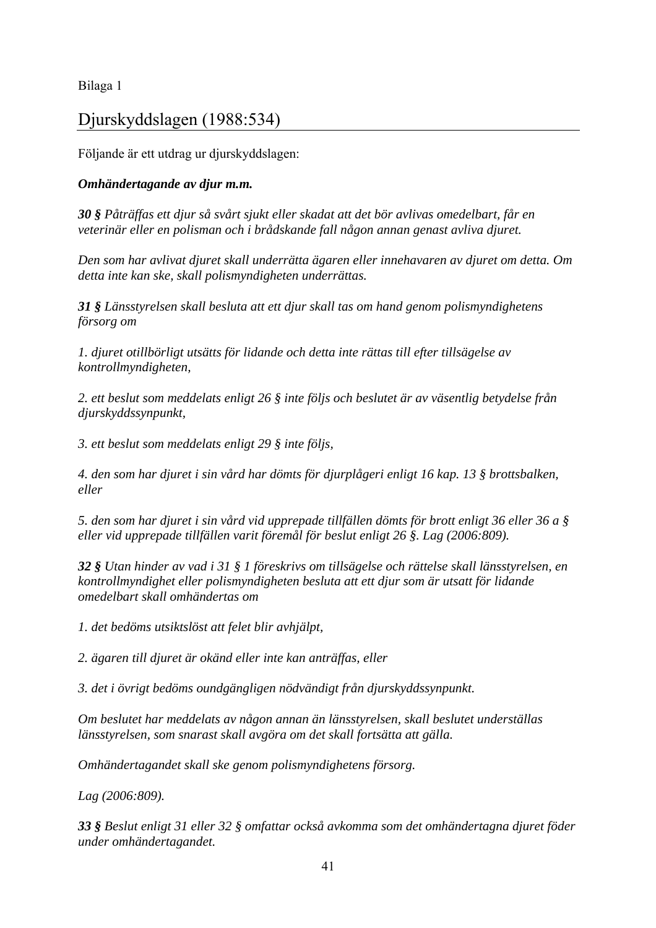## [Djurskyddslagen \(1988:534\)](http://62.95.69.15/cgi-bin/thw?%24%7BHTML%7D=sfst_lst&%24%7BOOHTML%7D=sfst_dok&%24%7BSNHTML%7D=sfst_err&%24%7BMAXPAGE%7D=26&%24%7BTRIPSHOW%7D=format%3DTHW&%24%7BBASE%7D=SFST&%24%7BFORD%7D=FIND&%24%7BFREETEXT%7D=&BET=1988%3A534&RUB=&ORG=&%24%7BSORT%7D=%C5R%2CLPNR+)

Följande är ett utdrag ur djurskyddslagen:

## *Omhändertagande av djur m.m.*

*30 § Påträffas ett djur så svårt sjukt eller skadat att det bör avlivas omedelbart, får en veterinär eller en polisman och i brådskande fall någon annan genast avliva djuret.* 

*Den som har avlivat djuret skall underrätta ägaren eller innehavaren av djuret om detta. Om detta inte kan ske, skall polismyndigheten underrättas.* 

*31 § Länsstyrelsen skall besluta att ett djur skall tas om hand genom polismyndighetens försorg om* 

*1. djuret otillbörligt utsätts för lidande och detta inte rättas till efter tillsägelse av kontrollmyndigheten,* 

*2. ett beslut som meddelats enligt 26 § inte följs och beslutet är av väsentlig betydelse från djurskyddssynpunkt,* 

*3. ett beslut som meddelats enligt 29 § inte följs,* 

*4. den som har djuret i sin vård har dömts för djurplågeri enligt 16 kap. 13 § brottsbalken, eller* 

*5. den som har djuret i sin vård vid upprepade tillfällen dömts för brott enligt 36 eller 36 a § eller vid upprepade tillfällen varit föremål för beslut enligt 26 §. Lag (2006:809).* 

*32 § Utan hinder av vad i 31 § 1 föreskrivs om tillsägelse och rättelse skall länsstyrelsen, en kontrollmyndighet eller polismyndigheten besluta att ett djur som är utsatt för lidande omedelbart skall omhändertas om* 

*1. det bedöms utsiktslöst att felet blir avhjälpt,* 

*2. ägaren till djuret är okänd eller inte kan anträffas, eller* 

*3. det i övrigt bedöms oundgängligen nödvändigt från djurskyddssynpunkt.* 

*Om beslutet har meddelats av någon annan än länsstyrelsen, skall beslutet underställas länsstyrelsen, som snarast skall avgöra om det skall fortsätta att gälla.* 

*Omhändertagandet skall ske genom polismyndighetens försorg.* 

*Lag (2006:809).* 

*33 § Beslut enligt 31 eller 32 § omfattar också avkomma som det omhändertagna djuret föder under omhändertagandet.*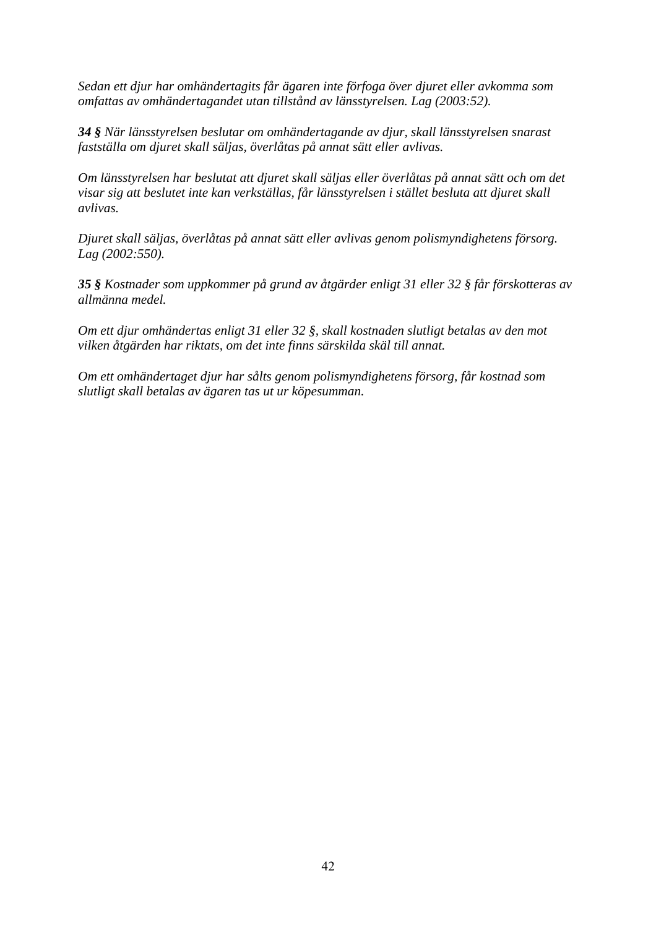*Sedan ett djur har omhändertagits får ägaren inte förfoga över djuret eller avkomma som omfattas av omhändertagandet utan tillstånd av länsstyrelsen. Lag (2003:52).* 

*34 § När länsstyrelsen beslutar om omhändertagande av djur, skall länsstyrelsen snarast fastställa om djuret skall säljas, överlåtas på annat sätt eller avlivas.* 

*Om länsstyrelsen har beslutat att djuret skall säljas eller överlåtas på annat sätt och om det visar sig att beslutet inte kan verkställas, får länsstyrelsen i stället besluta att djuret skall avlivas.* 

*Djuret skall säljas, överlåtas på annat sätt eller avlivas genom polismyndighetens försorg. Lag (2002:550).* 

*35 § Kostnader som uppkommer på grund av åtgärder enligt 31 eller 32 § får förskotteras av allmänna medel.* 

*Om ett djur omhändertas enligt 31 eller 32 §, skall kostnaden slutligt betalas av den mot vilken åtgärden har riktats, om det inte finns särskilda skäl till annat.* 

*Om ett omhändertaget djur har sålts genom polismyndighetens försorg, får kostnad som slutligt skall betalas av ägaren tas ut ur köpesumman.*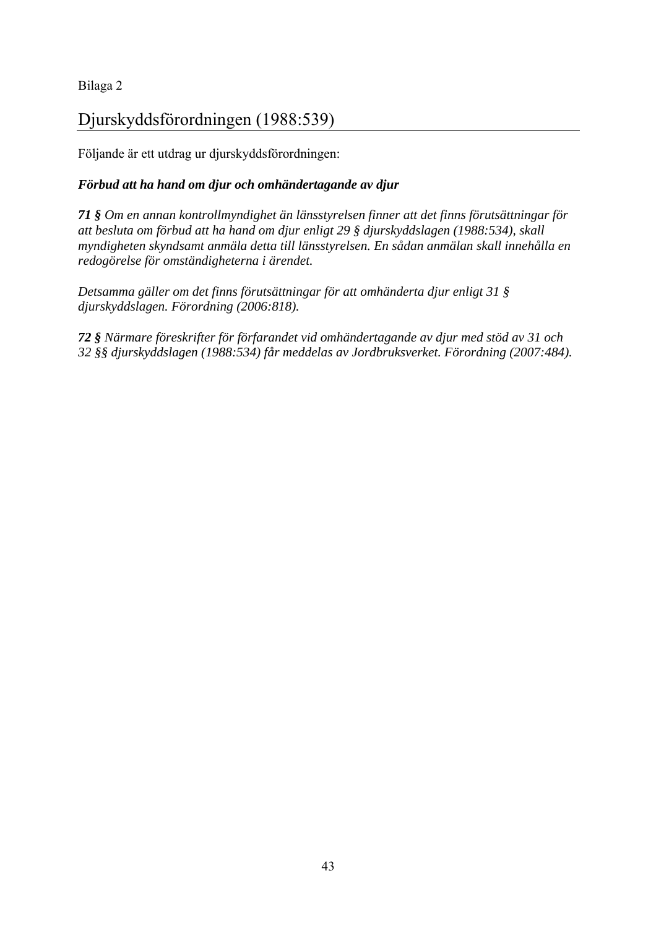## [Djurskyddsförordningen \(1988:539\)](http://62.95.69.15/cgi-bin/thw?%24%7BHTML%7D=sfst_lst&%24%7BOOHTML%7D=sfst_dok&%24%7BSNHTML%7D=sfst_err&%24%7BMAXPAGE%7D=26&%24%7BTRIPSHOW%7D=format%3DTHW&%24%7BBASE%7D=SFST&%24%7BFORD%7D=FIND&%24%7BFREETEXT%7D=&BET=1988%3A539&RUB=&ORG=&%24%7BSORT%7D=%C5R%2CLPNR+)

Följande är ett utdrag ur djurskyddsförordningen:

## *Förbud att ha hand om djur och omhändertagande av djur*

*71 § Om en annan kontrollmyndighet än länsstyrelsen finner att det finns förutsättningar för att besluta om förbud att ha hand om djur enligt 29 § djurskyddslagen (1988:534), skall myndigheten skyndsamt anmäla detta till länsstyrelsen. En sådan anmälan skall innehålla en redogörelse för omständigheterna i ärendet.* 

*Detsamma gäller om det finns förutsättningar för att omhänderta djur enligt 31 § djurskyddslagen. Förordning (2006:818).* 

*72 § Närmare föreskrifter för förfarandet vid omhändertagande av djur med stöd av 31 och 32 §§ djurskyddslagen (1988:534) får meddelas av Jordbruksverket. Förordning (2007:484).*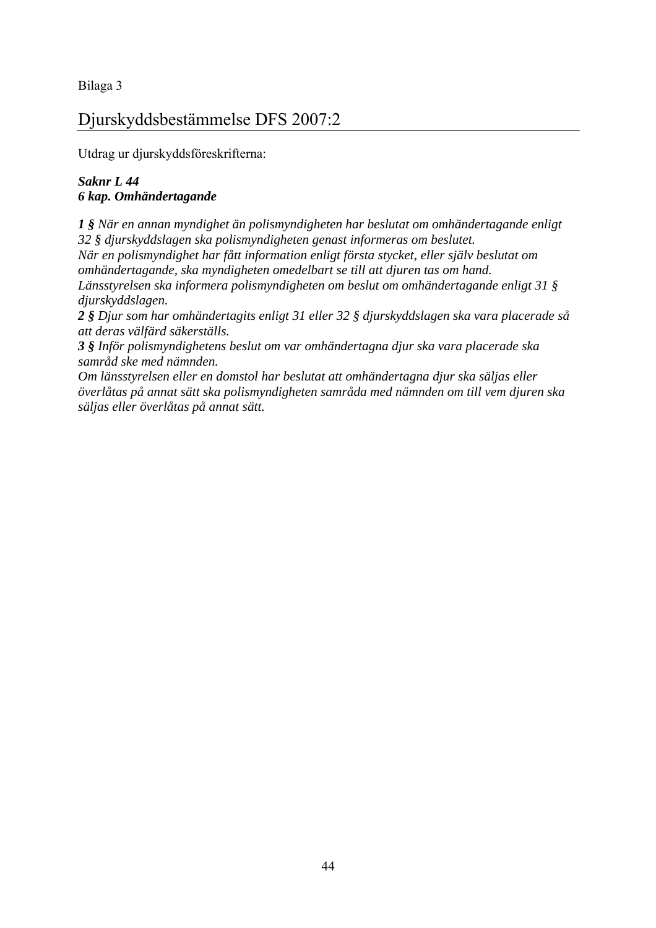## Djurskyddsbestämmelse DFS 2007:2

Utdrag ur djurskyddsföreskrifterna:

### *Saknr L 44 6 kap. Omhändertagande*

*1 § När en annan myndighet än polismyndigheten har beslutat om omhändertagande enligt 32 § djurskyddslagen ska polismyndigheten genast informeras om beslutet. När en polismyndighet har fått information enligt första stycket, eller själv beslutat om omhändertagande, ska myndigheten omedelbart se till att djuren tas om hand. Länsstyrelsen ska informera polismyndigheten om beslut om omhändertagande enligt 31 § djurskyddslagen.* 

*2 § Djur som har omhändertagits enligt 31 eller 32 § djurskyddslagen ska vara placerade så att deras välfärd säkerställs.* 

*3 § Inför polismyndighetens beslut om var omhändertagna djur ska vara placerade ska samråd ske med nämnden.* 

*Om länsstyrelsen eller en domstol har beslutat att omhändertagna djur ska säljas eller överlåtas på annat sätt ska polismyndigheten samråda med nämnden om till vem djuren ska säljas eller överlåtas på annat sätt.*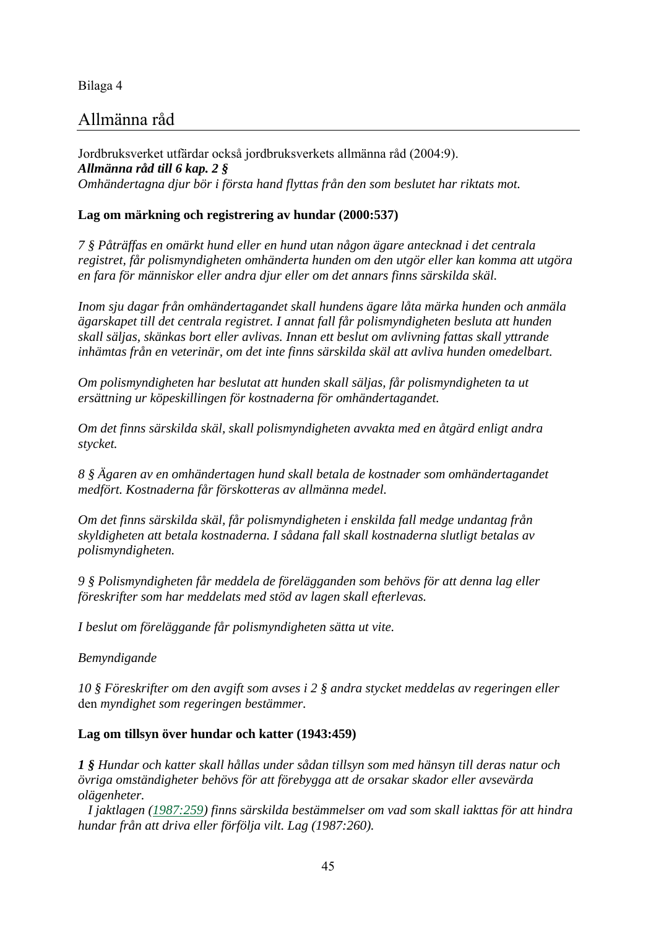## Allmänna råd

Jordbruksverket utfärdar också jordbruksverkets allmänna råd (2004:9). *Allmänna råd till 6 kap. 2 § Omhändertagna djur bör i första hand flyttas från den som beslutet har riktats mot.* 

#### **Lag om märkning och registrering av hundar (2000:537)**

*7 § Påträffas en omärkt hund eller en hund utan någon ägare antecknad i det centrala registret, får polismyndigheten omhänderta hunden om den utgör eller kan komma att utgöra en fara för människor eller andra djur eller om det annars finns särskilda skäl.* 

*Inom sju dagar från omhändertagandet skall hundens ägare låta märka hunden och anmäla ägarskapet till det centrala registret. I annat fall får polismyndigheten besluta att hunden skall säljas, skänkas bort eller avlivas. Innan ett beslut om avlivning fattas skall yttrande inhämtas från en veterinär, om det inte finns särskilda skäl att avliva hunden omedelbart.* 

*Om polismyndigheten har beslutat att hunden skall säljas, får polismyndigheten ta ut ersättning ur köpeskillingen för kostnaderna för omhändertagandet.* 

*Om det finns särskilda skäl, skall polismyndigheten avvakta med en åtgärd enligt andra stycket.* 

*8 § Ägaren av en omhändertagen hund skall betala de kostnader som omhändertagandet medfört. Kostnaderna får förskotteras av allmänna medel.* 

*Om det finns särskilda skäl, får polismyndigheten i enskilda fall medge undantag från skyldigheten att betala kostnaderna. I sådana fall skall kostnaderna slutligt betalas av polismyndigheten.* 

*9 § Polismyndigheten får meddela de förelägganden som behövs för att denna lag eller föreskrifter som har meddelats med stöd av lagen skall efterlevas.* 

*I beslut om föreläggande får polismyndigheten sätta ut vite.* 

*Bemyndigande* 

*10 § Föreskrifter om den avgift som avses i 2 § andra stycket meddelas av regeringen eller*  den *myndighet som regeringen bestämmer.* 

#### **Lag om tillsyn över hundar och katter (1943:459)**

*1 § Hundar och katter skall hållas under sådan tillsyn som med hänsyn till deras natur och övriga omständigheter behövs för att förebygga att de orsakar skador eller avsevärda olägenheter.* 

 *I jaktlagen [\(1987:259\)](http://www.notisum.se/rnp/sls/lag/19870259.HTM) finns särskilda bestämmelser om vad som skall iakttas för att hindra hundar från att driva eller förfölja vilt. Lag (1987:260).*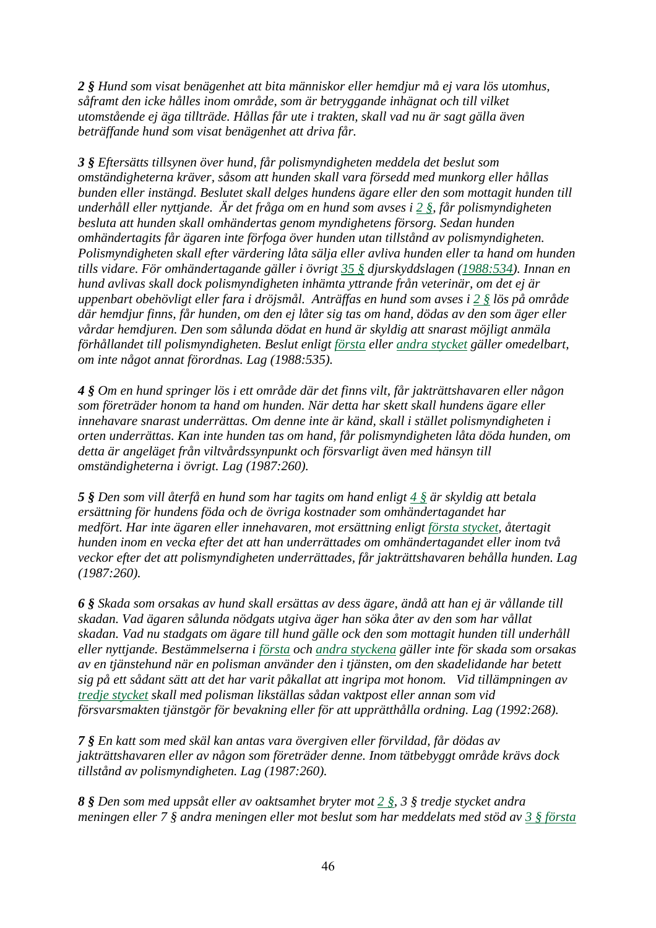*2 § Hund som visat benägenhet att bita människor eller hemdjur må ej vara lös utomhus, såframt den icke hålles inom område, som är betryggande inhägnat och till vilket utomstående ej äga tillträde. Hållas får ute i trakten, skall vad nu är sagt gälla även beträffande hund som visat benägenhet att driva får.* 

*3 § Eftersätts tillsynen över hund, får polismyndigheten meddela det beslut som omständigheterna kräver, såsom att hunden skall vara försedd med munkorg eller hållas bunden eller instängd. Beslutet skall delges hundens ägare eller den som mottagit hunden till underhåll eller nyttjande. Är det fråga om en hund som avses i [2 §,](http://www.notisum.se/rnp/sls/lag/19430459.HTM#P2#P2) får polismyndigheten besluta att hunden skall omhändertas genom myndighetens försorg. Sedan hunden omhändertagits får ägaren inte förfoga över hunden utan tillstånd av polismyndigheten. Polismyndigheten skall efter värdering låta sälja eller avliva hunden eller ta hand om hunden tills vidare. För omhändertagande gäller i övrigt [35 §](http://www.notisum.se/rnp/sls/lag/19880534.htm#P35) djurskyddslagen [\(1988:534](http://www.notisum.se/rnp/sls/lag/19880534.HTM)). Innan en hund avlivas skall dock polismyndigheten inhämta yttrande från veterinär, om det ej är uppenbart obehövligt eller fara i dröjsmål. Anträffas en hund som avses i [2 §](http://www.notisum.se/rnp/sls/lag/19430459.HTM#P2#P2) lös på område där hemdjur finns, får hunden, om den ej låter sig tas om hand, dödas av den som äger eller vårdar hemdjuren. Den som sålunda dödat en hund är skyldig att snarast möjligt anmäla förhållandet till polismyndigheten. Beslut enligt [första](http://www.notisum.se/rnp/sls/lag/19430459.HTM#P3S1#P3S1) eller [andra stycket](http://www.notisum.se/rnp/sls/lag/19430459.HTM#P3S2#P3S2) gäller omedelbart, om inte något annat förordnas. Lag (1988:535).* 

*4 § Om en hund springer lös i ett område där det finns vilt, får jakträttshavaren eller någon som företräder honom ta hand om hunden. När detta har skett skall hundens ägare eller innehavare snarast underrättas. Om denne inte är känd, skall i stället polismyndigheten i orten underrättas. Kan inte hunden tas om hand, får polismyndigheten låta döda hunden, om detta är angeläget från viltvårdssynpunkt och försvarligt även med hänsyn till omständigheterna i övrigt. Lag (1987:260).* 

*5 § Den som vill återfå en hund som har tagits om hand enligt [4 §](http://www.notisum.se/rnp/sls/lag/19430459.HTM#P4#P4) är skyldig att betala ersättning för hundens föda och de övriga kostnader som omhändertagandet har medfört. Har inte ägaren eller innehavaren, mot ersättning enligt [första stycket](http://www.notisum.se/rnp/sls/lag/19430459.HTM#P5S1#P5S1), återtagit hunden inom en vecka efter det att han underrättades om omhändertagandet eller inom två veckor efter det att polismyndigheten underrättades, får jakträttshavaren behålla hunden. Lag (1987:260).* 

*6 § Skada som orsakas av hund skall ersättas av dess ägare, ändå att han ej är vållande till skadan. Vad ägaren sålunda nödgats utgiva äger han söka åter av den som har vållat skadan. Vad nu stadgats om ägare till hund gälle ock den som mottagit hunden till underhåll eller nyttjande. Bestämmelserna i [första](http://www.notisum.se/rnp/sls/lag/19430459.HTM#P6S1#P6S1) och [andra styckena](http://www.notisum.se/rnp/sls/lag/19430459.HTM#P6S2#P6S2) gäller inte för skada som orsakas av en tjänstehund när en polisman använder den i tjänsten, om den skadelidande har betett sig på ett sådant sätt att det har varit påkallat att ingripa mot honom. Vid tillämpningen av [tredje stycket](http://www.notisum.se/rnp/sls/lag/19430459.HTM#P6S3#P6S3) skall med polisman likställas sådan vaktpost eller annan som vid försvarsmakten tjänstgör för bevakning eller för att upprätthålla ordning. Lag (1992:268).* 

*7 § En katt som med skäl kan antas vara övergiven eller förvildad, får dödas av jakträttshavaren eller av någon som företräder denne. Inom tätbebyggt område krävs dock tillstånd av polismyndigheten. Lag (1987:260).* 

*8 § Den som med uppsåt eller av oaktsamhet bryter mot [2 §,](http://www.notisum.se/rnp/sls/lag/19430459.HTM#P2#P2) 3 § tredje stycket andra meningen eller 7 § andra meningen eller mot beslut som har meddelats med stöd av [3 § första](http://www.notisum.se/rnp/sls/lag/19430459.HTM#P3S1#P3S1)*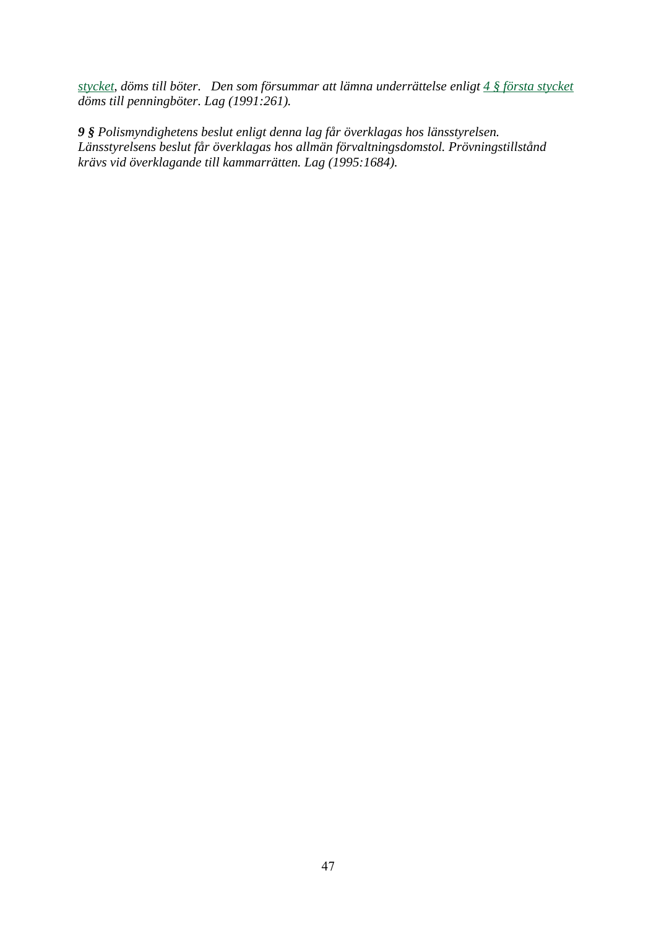*[stycket,](http://www.notisum.se/rnp/sls/lag/19430459.HTM#P3S1#P3S1) döms till böter. Den som försummar att lämna underrättelse enligt [4 § första stycket](http://www.notisum.se/rnp/sls/lag/19430459.HTM#P4S1#P4S1) döms till penningböter. Lag (1991:261).* 

*9 § Polismyndighetens beslut enligt denna lag får överklagas hos länsstyrelsen. Länsstyrelsens beslut får överklagas hos allmän förvaltningsdomstol. Prövningstillstånd krävs vid överklagande till kammarrätten. Lag (1995:1684).*